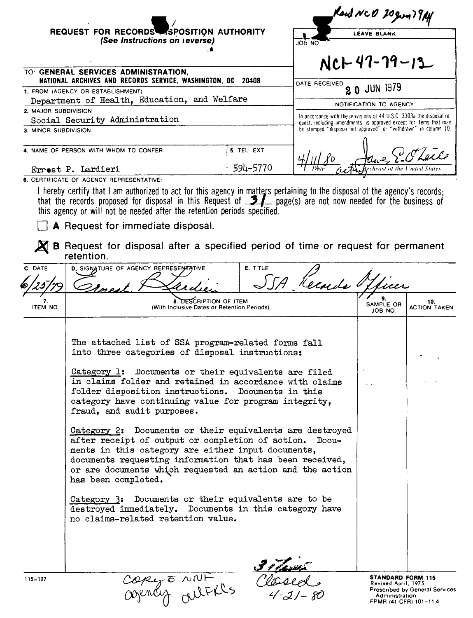|                                                                                                                                          | REQUEST FOR RECORDS SPOSITION AUTHORITY<br>(See Instructions on reverse)                                                                                                                                                                                                                                                                                                                                                                                                                                                                           |                                 | JOB NO                                                                                                                                                                                                         | Kend NCD 20gun 79Af<br><b>LEAVE BLANK</b> |                            |
|------------------------------------------------------------------------------------------------------------------------------------------|----------------------------------------------------------------------------------------------------------------------------------------------------------------------------------------------------------------------------------------------------------------------------------------------------------------------------------------------------------------------------------------------------------------------------------------------------------------------------------------------------------------------------------------------------|---------------------------------|----------------------------------------------------------------------------------------------------------------------------------------------------------------------------------------------------------------|-------------------------------------------|----------------------------|
| TO: GENERAL SERVICES ADMINISTRATION,<br>NATIONAL ARCHIVES AND RECORDS SERVICE, WASHINGTON, DC 20408<br>1. FROM (AGENCY OR ESTABLISHMENT) |                                                                                                                                                                                                                                                                                                                                                                                                                                                                                                                                                    |                                 | $NCH47-79-13$<br>DATE RECEIVED<br>20 JUN 1979                                                                                                                                                                  |                                           |                            |
| 2. MAJOR SUBDIVISION<br>3. MINOR SUBDIVISION                                                                                             | Department of Health, Education, and Welfare<br>Social Security Administration                                                                                                                                                                                                                                                                                                                                                                                                                                                                     |                                 | In accordance with the provisions of 44 U.S.C. 3303a the disposal re-<br>quest, including amendments, is approved except for items that may<br>be stamped "disposal not approved" or "withdrawn" in column 10. | NOTIFICATION TO AGENCY                    |                            |
|                                                                                                                                          | 4. NAME OF PERSON WITH WHOM TO CONFER                                                                                                                                                                                                                                                                                                                                                                                                                                                                                                              | <b>5. TEL. EXT.</b><br>594-5770 |                                                                                                                                                                                                                |                                           |                            |
| C. DATE                                                                                                                                  | I hereby certify that I am authorized to act for this agency in matters pertaining to the disposal of the agency's records;<br>that the records proposed for disposal in this Request of $\mathcal{I}$ page(s) are not now needed for the business of<br>this agency or will not be needed after the retention periods specified.<br>A Request for immediate disposal.<br><b>B</b> Request for disposal after a specified period of time or request for permanent<br>retention.<br>D. SIGNATURE OF AGENCY REPRESENTATIVE                           | <b>E. TITLE</b>                 | Kecards O                                                                                                                                                                                                      |                                           |                            |
| <b>ITEM NO.</b>                                                                                                                          | 8. DESCRIPTION OF ITEM<br>(With Inclusive Dates or Retention Periods)                                                                                                                                                                                                                                                                                                                                                                                                                                                                              |                                 |                                                                                                                                                                                                                | SAMPLE OR<br>JOB NO.                      | 10.<br><b>ACTION TAKEN</b> |
|                                                                                                                                          | The attached list of SSA program-related forms fall<br>into three categories of disposal instructions:<br>Category 1: Documents or their equivalents are filed<br>in claims folder and retained in accordance with claims<br>folder disposition instructions. Documents in this<br>category have continuing value for program integrity,<br>fraud, and audit purposes.<br>Category 2: Documents or their equivalents are destroyed<br>after receipt of output or completion of action. Docu-<br>ments in this category are either input documents, |                                 |                                                                                                                                                                                                                |                                           |                            |

documents requesting information that has been received, or are documents which requested an action and the action has been completed. Category **3:** Documents or their equivalents are to be destroyed immediately. Documents in this category have no claims-related retention value. Copy to NNF Classed

**STANDARD FORM 115**  Revised April, 1975 Prescribed by General Services

Administration FPMR (41 CFR) 101-11.4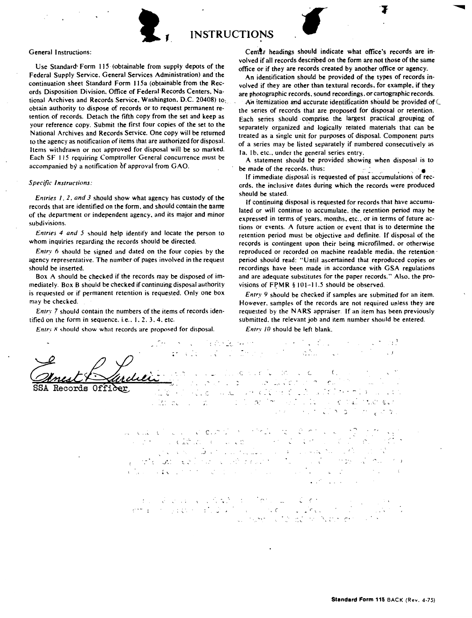

**t, INSTRUCTIONS** 

## General Instructions:

Use Standard<sup>-</sup> Form 115 (obtainable from supply depots of the Federal Supply Service. General Services Administration) and the continuation sheet Standard Form 115a (obtainable from the Records Disposition Division. Office of Federal Records Centers. National Archives and Records Service. Washington. D.C. 20408) to: obtain authority to dispose of records or to request permanent retention of records. Detach the fifth copy from the set and **keep** as your reference copy. Submit the first four copies of the set to the National Archives and Records Service. One copy will be returned to the agency as notification of items that are authorized for disposal. Items withdrawn or not approved for disposal **will be** so marked. Each SF 115 requiring Comptroller General concurrence must be accompanied by a notification of approval from GAO.

## *S pecijic Instructions:*

*Entries I, 2, and 3* should show what agency has custody of the records that are identified on the form. and should contain the name of the depanment or independent agency. and its major and minor subdivisions.

*Entries 4 and 5* should help identify and locate the person to whom inquiries regarding the records should be directed.

*Entry* 6 should be signed and dated on the four copies by the agency representative. The number of pages involved in the request should be inserted.

Box A should be checked if the records may be disposed of immediately. Box B should be checked if continuing disposal authority is requested or if permanent retention is requested. Only one box may be checked.

*Entry 7* should contain the numbers of the items of records identified on the form in sequence, i.e.,  $1, 2, 3, 4$ , etc.

*Entry 8*-should show what records are proposed for disposal.

Center headings should indicate what office's records are involved if all records described on the form are not those of the same office or if they are records created by another office or agency.

An identification should be provided of the types of records involved if they are other than textural records. for example, if they are photographic records, sound recordings, or cartographic records.

An itemization and accurate identification should be provided of  $\subset$ the series of records that are proposed for disposal or retention. Each series should comprise the largest practical grouping of separately organized and logically retated materials that can be treated as a single unit for purposes of disposal. Component pans of a series may be listed separately if numbered consecutively as Ia, 1b, etc., under the general series entry.

A statement should be provided showing when disposal is to be made of the records, thus:  $\qquad \qquad$ 

If immediate disposal is requested of past accumulations of records, the inclusive dates during which the records were produced should be stated.

If continuing disposal is requested for records that have accumulated or will continue to accumulate, the retention period may **be**  expressed in terms of years. months, etc .. or in terms of future actions or events. A future action or event that is to determine the retention period must be objective and definite. If disposal of the records is contingent upon their being microfilmed. or otherwise reproduced or recorded on machine readable media, the retention period should read: "Until ascenained that reproduced copies or recordings have been made in accordance with GSA regulations and are adequate substitutes for the paper records." Also. the provisions of FPMR §  $101-11.5$  should be observed.

*Entry 9* should be checked if samples are submitted for an item. However. samples of the records are not required unless they are requested by the **NARS** appraiser. If an item has been previously submitted. the relevant job and item number should be entered.

*Entry 10* should be left blank.

'l condensers.  $\label{eq:2.1} \mathcal{L}_{\mathcal{A}}(\mathbf{z},\mathbf{z})=\mathcal{L}_{\mathcal{A}}(\mathbf{z},\mathbf{z})=\mathcal{L}_{\mathcal{A}}(\mathbf{z},\mathbf{z})=\mathcal{L}_{\mathcal{A}}(\mathbf{z},\mathbf{z})$ al Carthage and Carthage Co i lingvis e la comunicación de la  $\epsilon$ . the construction of the com- $\sqrt{2}$  and ina ve doktor zivere pilate **Becords** er 13. RC C לה של היה מותו המודינה בין המודינה להורי המודינה של היה.<br>השפית המודינה שינוי של היה מודינה היה היה היה היה המודינה.<br>המודינה שינוי המודינה להיה היה מודינה. . in de

 $f_{\rm eff}$  , and  $f_{\rm eff}$  , and  $f_{\rm eff}$  , and  $f_{\rm eff}$  , and  $f_{\rm eff}$ さんしょく a catalana con componenta (人格) 的第三 ..J *J\_'*   $\sim 10^{-11}$ つかし スーペル・イラ  $\mathcal{L}(\mathbf{1},\mathbf{v})\in\mathbb{R}^{n\times n}\times\mathbb{R}^{n\times n}\times\mathbb{R}^{n\times n}\times\mathbb{R}^{n\times n}\times\mathbb{R}^{n\times n}\times\mathbb{R}^{n\times n}$  $\sim 100$ 

die seine Karl Karl des Motes ett i skog pod skog i dramatiske stre *r*  In see a change of the National College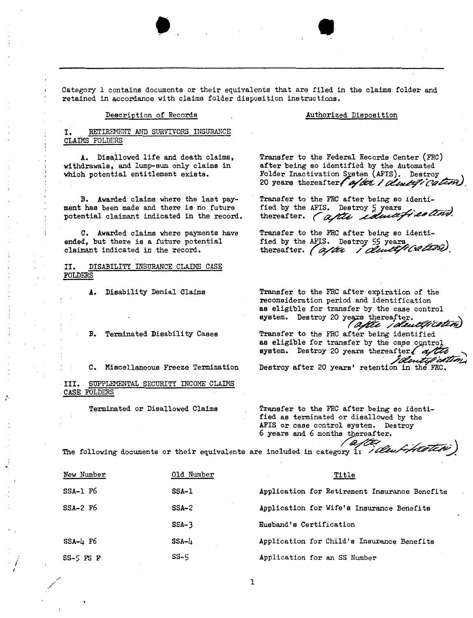Category 1 contains documents or their equivalents that are filed in the claims folder and retained in accordance with claims folder disposition instructions.

 $\bullet$  .  $\bullet$ 

Description of Records

Authorized Disposition

RETIREMENT AND SURVIVORS INSURANCE CLAIMS FOLDERS

A. Disatlowed life and death claims, withdrawals, and lump-sum only claims in which potential entitlement exists.

B. Awarded claims where the last payment has been made and there is no future potential claimant indicated in the record,

C. Awarded claims where payments have ended, but there is a future potential claimant indicated in the record.

II. DISABILITY INSURANCE CLAIMS CASE FOLDERS

A. Disability Denial Claims

B. Terminated Disability Cases

C. Miscellaneous Freeze Termination

III. SUPPLEMENTAL SECURITY INCOME CLAIMS ·CASE FOLDERS

*I I* 

Terminated or Disallowed Claims

**Transfer** to the Federal Records Center (FRC) **after** being so identified by the Automated Folder Inactivation System (AFIS). Destroy 20 years thereafter ( of it i disting cation).

Transfer to the FRC after being so identi-<br>fied by the AFIS. Destroy 5 years fransfer to the FRC after being so identi-<br>fied by the AFIS. Destroy 5 years<br>thereafter. *(aftite coluctification)*.

Transfer to the FRC after being so identi-<br>fied by the AFIS. Destroy 55 years, fied by the AFIS. Destroy 55 years<br>thereafter. *(a/tx / <i>cludiff Cafish)*.

Transfer to the FRC after expiration of the reconsideration period and identification **as** eligible for transfer by the case control system. Destroy 20 years thereafter. (after identification

Transfer to the FRC after being identified as eligible for transfer by the case control  $system.$  Destroy 20 years thereafter.  $\ell$  of '*'O*lentification

Destroy after 20 years' retention in the FRC.

Transfer to the FRC after being so identified as terminated or disallowed by the AFIS or case control system. Destroy 6 years and 6 months thereafter. 6 years and 6 months thereafter.<br>are included in category 1: */ Clear Hiteless*)

The following documents or their equivalents

| New Number             | Old Number   | Title                                         |
|------------------------|--------------|-----------------------------------------------|
| $SSA-1$ F <sub>6</sub> | <b>SSA-1</b> | Application for Retirement Insurance Benefits |
| $SSA-2$ F <sub>6</sub> | $SSA-2$      | Application for Wife's Insurance Benefits     |
|                        | $SSA-3$      | Husband's Certification                       |
| $SSA-L$ F6             | SSA-4        | Application for Child's Insurance Benefits    |
| $SS-5$ FS F            | $SS-5$       | Application for an SS Number                  |

1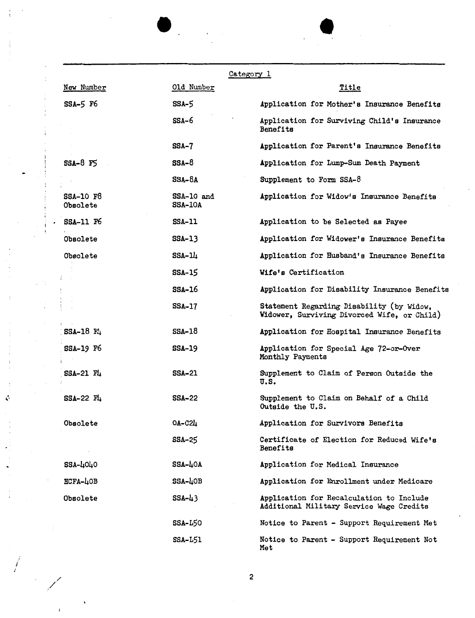|                       |                              | Category 1                                                                               |
|-----------------------|------------------------------|------------------------------------------------------------------------------------------|
| New Number            | Old Number                   | Title                                                                                    |
| $SSA-5$ F6            | SSA-5                        | Application for Mother's Insurance Benefits                                              |
|                       | SSA-6                        | Application for Surviving Child's Insurance<br>Benefits                                  |
|                       | $SSA-7$                      | Application for Parent's Insurance Benefits                                              |
| $SSA-8$ $FS$          | SSA-8                        | Application for Lump-Sum Death Payment                                                   |
|                       | $SSA-8A$                     | Supplement to Form SSA-8                                                                 |
| SSA-10 F8<br>Obsolete | SSA-10 and<br><b>SSA-10A</b> | Application for Widow's Insurance Benefits                                               |
| <b>SSA-11 F6</b>      | <b>SSA-11</b>                | Application to be Selected as Payee                                                      |
| Obsolete              | $SSA-13$                     | Application for Widower's Insurance Benefits                                             |
| Obsolete              | $SSA-11$                     | Application for Husband's Insurance Benefits                                             |
|                       | <b>SSA-15</b>                | Wife's Certification                                                                     |
|                       | $SSA-16$                     | Application for Disability Insurance Benefits                                            |
|                       | <b>SSA-17</b>                | Statement Regarding Disability (by Widow,<br>Widower, Surviving Divorced Wife, or Child) |
| $SSA-18$ $Fl$         | $SSA-18$                     | Application for Hospital Insurance Benefits                                              |
| <b>SSA-19 F6</b>      | $SSA-19$                     | Application for Special Age 72-or-Over<br>Monthly Payments                               |
| $SSA-21$ $Fl_+$       | <b>SSA-21</b>                | Supplement to Claim of Person Outside the<br>u.s.                                        |
| $SSA-22$ $Fl_+$       | <b>SSA-22</b>                | Supplement to Claim on Behalf of a Child<br>Outside the U.S.                             |
| Obsolete              | $OA-C2L$                     | Application for Survivors Benefits                                                       |
|                       | SSA-25                       | Certificate of Election for Reduced Wife's<br>Benefits                                   |
| $SSA-L0L0$            | $SSA-LOA$                    | Application for Medical Insurance                                                        |
| $HCFA-LOB$            | $SSA-LOB$                    | Application for Enrollment under Medicare                                                |
| Obsolete              | $SSA-L3$                     | Application for Recalculation to Include<br>Additional Military Service Wage Credits     |
|                       | <b>SSA-L50</b>               | Notice to Parent - Support Requirement Met                                               |
|                       | <b>SSA-L51</b>               | Notice to Parent - Support Requirement Not<br>Met                                        |

2

*i I* 

÷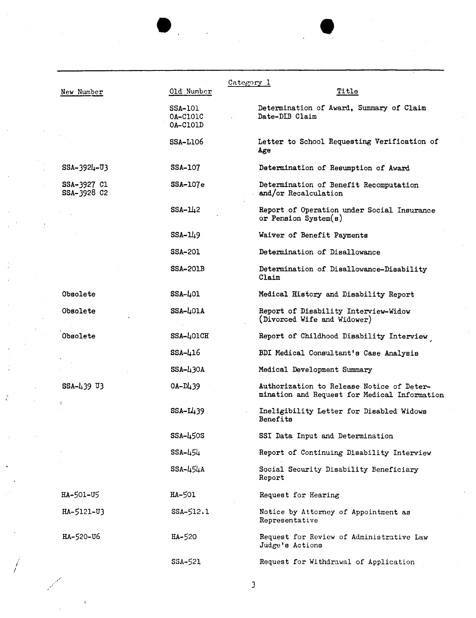| New Number                 | Old Number                             | Category 1<br><u>Title</u>                                                                |
|----------------------------|----------------------------------------|-------------------------------------------------------------------------------------------|
|                            | <b>SSA-101</b><br>0A-C101C<br>OA-C101D | Determination of Award, Summary of Claim<br>Date-DIB Claim                                |
|                            | <b>SSA-L106</b>                        | Letter to School Requesting Verification of<br>Age                                        |
| $SSA - 392L - U3$          | SSA-107                                | Determination of Resumption of Award                                                      |
| SSA-3927 Cl<br>SSA-3928 C2 | SSA-107e                               | Determination of Benefit Recomputation<br>and/or Recalculation                            |
|                            | $SSA-112$                              | Report of Operation under Social Insurance<br>or Pension System $(s)$                     |
|                            | $SSA-119$                              | Waiver of Benefit Payments                                                                |
|                            | <b>SSA-201</b>                         | Determination of Disallowance                                                             |
|                            | <b>SSA-201B</b>                        | Determination of Disallowance-Disability<br>Claim                                         |
| <b>Obsolete</b>            | $SSA-L01$                              | Medical History and Disability Report                                                     |
| Obsolete                   | $SSA-LOIA$                             | Report of Disability Interview-Widow<br>(Divorced Wife and Widower)                       |
| Obsolete                   | SSA-401CH                              | Report of Childhood Disability Interview                                                  |
|                            | $SSA - 416$                            | BDI Medical Consultant's Case Analysis                                                    |
|                            | $SSA - \lambda$ 30A                    | Medical Development Summary                                                               |
| SSA-439 U3                 | $OA-D439$                              | Authorization to Release Notice of Deter-<br>mination and Request for Medical Information |
|                            | $SSA-L439$                             | Ineligibility Letter for Disabled Widows<br>Benefits                                      |
|                            | SSA-450S                               | SSI Data Input and Determination                                                          |
|                            | $SSA - 454$                            | Report of Continuing Disability Interview                                                 |
|                            | $SSA - 454A$                           | Social Security Disability Beneficiary<br>Report                                          |
| HA-501-U5                  | HA-501                                 | Request for Hearing                                                                       |
| HA-5121-U3                 | $SSA-512.1$                            | Notice by Attorney of Appointment as<br>Representative                                    |
| HA-520-U6                  | HA-520                                 | Request for Review of Administrative Law<br>Judge's Actions                               |
|                            | SSA-521                                | Request for Withdrawal of Application                                                     |
|                            |                                        |                                                                                           |

 $\mathbf{L}$ 

*3* 

*i I* 

 $\hat{\vec{C}}$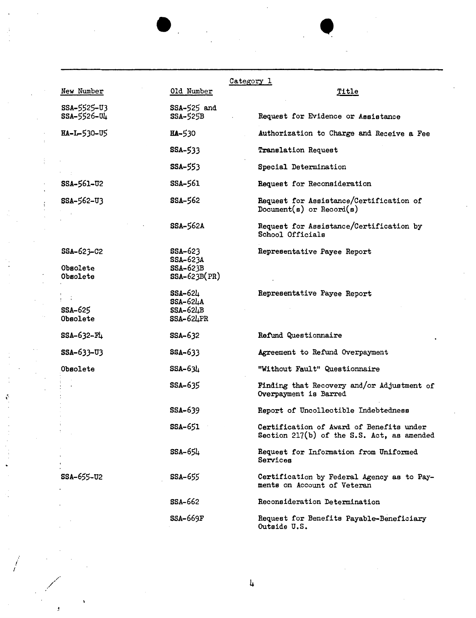|                                             |                                                            | Category 1                                                                             |
|---------------------------------------------|------------------------------------------------------------|----------------------------------------------------------------------------------------|
| New Number                                  | Old Number                                                 | <b>Title</b>                                                                           |
| SSA-5525-U3<br>SSA-5526-U4                  | SSA-525 and<br><b>SSA-525B</b>                             | Request for Evidence or Assistance                                                     |
| HA-L-530-U5                                 | <b>HA-530</b>                                              | Authorization to Charge and Receive a Fee                                              |
|                                             | <b>SSA-533</b>                                             | Translation Request                                                                    |
|                                             | SSA-553                                                    | Special Determination                                                                  |
| SSA-561-U2                                  | SSA-561                                                    | Request for Reconsideration                                                            |
| $SSA - 562 - U3$                            | <b>SSA-562</b>                                             | Request for Assistance/Certification of<br>Document( $s$ ) or Record( $s$ )            |
|                                             | <b>SSA-562A</b>                                            | Request for Assistance/Certification by<br>School Officials                            |
| $SSA-623-C2$<br><b>Obsolete</b><br>Obsolete | $SSA-623$<br>SSA-623A<br><b>SSA-623B</b><br>$SSA-623B(PR)$ | Representative Payee Report                                                            |
| <b>SSA-625</b><br>Obsolete                  | SSA-624<br>$SSA-624A$<br>$SSA-62LB$<br>$SSA-62LPR$         | Representative Payee Report                                                            |
| $SSA - 632 - F4$                            | <b>SSA-632</b>                                             | Refund Questionnaire                                                                   |
| SSA-633-U3                                  | SSA-633                                                    | Agreement to Refund Overpayment                                                        |
| Obsolete                                    | $SSA - 63l_1$                                              | "Without Fault" Questionnaire                                                          |
|                                             | SSA-635                                                    | Finding that Recovery and/or Adjustment of<br>Overpayment is Barred                    |
|                                             | <b>SSA-639</b>                                             | Report of Uncollectible Indebtedness                                                   |
|                                             | <b>SSA-651</b>                                             | Certification of Award of Benefits under<br>Section 217(b) of the S.S. Act, as amended |
|                                             | SSA-654                                                    | Request for Information from Uniformed<br>Services                                     |
| SSA-655-U2                                  | <b>SSA-655</b>                                             | Certification by Federal Agency as to Pay-<br>ments on Account of Veteran              |
|                                             | <b>SSA-662</b>                                             | Reconsideration Determination                                                          |
|                                             | <b>SSA-669F</b>                                            | Request for Benefits Payable-Beneficiary<br>Outside U.S.                               |

 $\bullet$ 

*i I* 

é

 $\colon$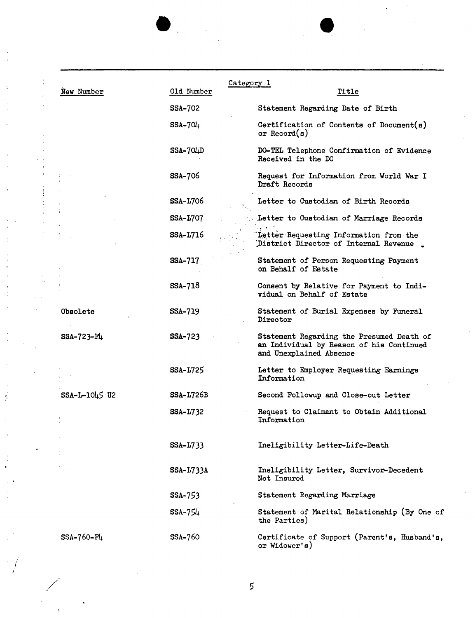| New Number      | Old Number      | Category 1<br>Title                                                                                              |
|-----------------|-----------------|------------------------------------------------------------------------------------------------------------------|
|                 | <b>SSA-702</b>  | Statement Regarding Date of Birth                                                                                |
|                 | $SSA-704$       | Certification of Contents of Document(s)<br>or Record $(s)$                                                      |
|                 | $SSA-70LD$      | DO-TEL Telephone Confirmation of Evidence<br>Received in the DO                                                  |
|                 | <b>SSA-706</b>  | Request for Information from World War I<br>Draft Records                                                        |
|                 | <b>SSA-L706</b> | Letter to Custodian of Birth Records                                                                             |
|                 | $SSA-L707$      | Letter to Custodian of Marriage Records                                                                          |
|                 | <b>SSA-L716</b> | Letter Requesting Information from the<br>District Director of Internal Revenue.                                 |
|                 | SSA-717         | Statement of Person Requesting Payment<br>on Behalf of Estate                                                    |
|                 | SSA-718         | Consent by Relative for Payment to Indi-<br>vidual on Behalf of Estate                                           |
| <b>Obsolete</b> | <b>SSA-719</b>  | Statement of Burial Expenses by Funeral<br>Director                                                              |
| $SSA-723-F4$    | <b>SSA-723</b>  | Statement Regarding the Presumed Death of<br>an Individual by Reason of his Continued<br>and Unexplained Absence |
|                 | SSA-L725        | Letter to Employer Requesting Earnings<br>Information                                                            |
| SSA-L-1045 U2   | $SSA-L726B$     | Second Followup and Close-out Letter                                                                             |
|                 | <b>SSA-L732</b> | Request to Claimant to Obtain Additional<br>Information                                                          |
|                 | SSA-L733        | Ineligibility Letter-Life-Death                                                                                  |
|                 | $SSA-L733A$     | Ineligibility Letter, Survivor-Decedent<br>Not Insured                                                           |
|                 | SSA-753         | Statement Regarding Marriage                                                                                     |
|                 | $SSA-754$       | Statement of Marital Relationship (By One of<br>the Parties)                                                     |
| $SSA-760-F4$    | SSA-760         | Certificate of Support (Parent's, Husband's,<br>or Widower's)                                                    |

 $\ddot{\cdot}$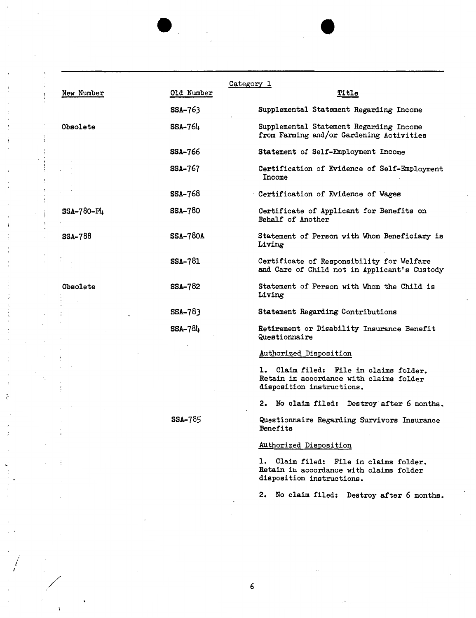|                 |                 | Category 1                                                                                                     |
|-----------------|-----------------|----------------------------------------------------------------------------------------------------------------|
| New Number      | Old Number      | Title                                                                                                          |
|                 | $SSA-763$       | Supplemental Statement Regarding Income                                                                        |
| Obsolete        | $SSA-76L$       | Supplemental Statement Regarding Income<br>from Farming and/or Gardening Activities                            |
|                 | <b>SSA-766</b>  | Statement of Self-Employment Income                                                                            |
|                 | <b>SSA-767</b>  | Certification of Evidence of Self-Employment<br>Income                                                         |
|                 | <b>SSA-768</b>  | Certification of Evidence of Wages                                                                             |
| SSA-780-F4      | <b>SSA-780</b>  | Certificate of Applicant for Benefits on<br>Behalf of Another                                                  |
| <b>SSA-788</b>  | <b>SSA-780A</b> | Statement of Person with Whom Beneficiary is<br>Living                                                         |
|                 | <b>SSA-781</b>  | Certificate of Responsibility for Welfare<br>and Care of Child not in Applicant's Custody                      |
| <b>Obsolete</b> | <b>SSA-782</b>  | Statement of Person with Whom the Child is<br>Living                                                           |
|                 | SSA-783         | Statement Regarding Contributions                                                                              |
|                 | <b>SSA-784</b>  | Retirement or Disability Insurance Benefit<br>Questionnaire                                                    |
|                 |                 | Authorized Disposition                                                                                         |
|                 |                 | 1. Claim filed: File in claims folder.<br>Retain in accordance with claims folder<br>disposition instructions. |
|                 |                 | 2. No claim filed: Destroy after 6 months.                                                                     |
|                 | SSA-785         | Questionnaire Regarding Survivors Insurance<br>Benefits                                                        |
|                 |                 | Authorized Disposition                                                                                         |
|                 |                 | 1. Claim filed: File in claims folder.<br>Retain in accordance with claims folder<br>disposition instructions. |

2. No claim filed: Destroy after 6 months,

/

÷

 $\dot{.}$ 

j  $\ddot{\cdot}$ 

 $\ddot{\cdot}$ 

 $\ddot{\mathcal{C}}$ 

 $\cdot$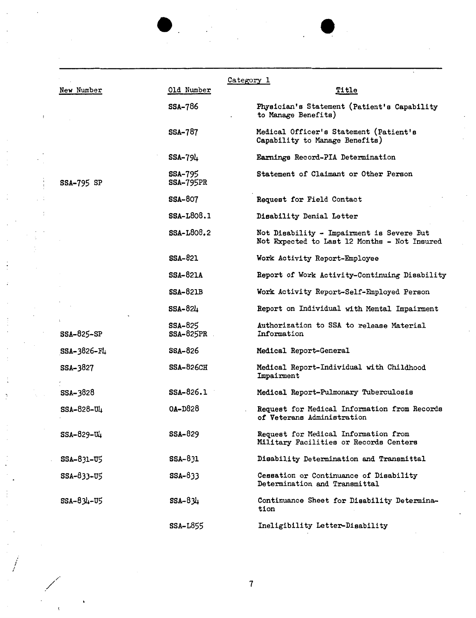|                   |                                    | Category 1                                                                                |
|-------------------|------------------------------------|-------------------------------------------------------------------------------------------|
| New Number        | Old Number                         | Title                                                                                     |
|                   | <b>SSA-786</b>                     | Physician's Statement (Patient's Capability<br>to Manage Benefits)                        |
|                   | <b>SSA-787</b>                     | Medical Officer's Statement (Patient's<br>Capability to Manage Benefits)                  |
|                   | $SSA-794$                          | Earnings Record-PIA Determination                                                         |
| <b>SSA-795 SP</b> | <b>SSA-795</b><br><b>SSA-795PR</b> | Statement of Claimant or Other Person                                                     |
|                   | <b>SSA-807</b>                     | Request for Field Contact                                                                 |
|                   | <b>SSA-L808.1</b>                  | Disability Denial Letter                                                                  |
|                   | SSA-L808.2                         | Not Disability - Impairment is Severe But<br>Not Expected to Last 12 Months - Not Insured |
|                   | SSA-821                            | Work Activity Report-Employee                                                             |
|                   | <b>SSA-821A</b>                    | Report of Work Activity-Continuing Disability                                             |
|                   | $SSA-821B$                         | Work Activity Report-Self-Employed Person                                                 |
|                   | SSA-824                            | Report on Individual with Mental Impairment                                               |
| SSA-825-SP        | <b>SSA-825</b><br>$SSA-825PR$      | Authorization to SSA to release Material<br>Information                                   |
| $SSA - 3826 - F4$ | <b>SSA-826</b>                     | Medical Report-General                                                                    |
| <b>SSA-3827</b>   | $SSA-826CH$                        | Medical Report-Individual with Childhood<br>Impairment                                    |
| SSA-3828          | $SSA-826.1$                        | Medical Report-Pulmonary Tuberculosis                                                     |
| SSA-828-U4        | $0A-D828$                          | Request for Medical Information from Records<br>of Veterans Administration                |
| SSA-829-U4        | <b>SSA-829</b>                     | Request for Medical Information from<br>Military Facilities or Records Centers            |
| SSA-831-U5        | SSA-831                            | Disability Determination and Transmittal                                                  |
| SSA-833-U5        | $SSA-833$                          | Cessation or Continuance of Disability<br>Determination and Transmittal                   |
| $SSA - 834 - 05$  | $SSA - 834$                        | Continuance Sheet for Disability Determina-<br>tion                                       |
|                   | <b>SSA-L855</b>                    | Ineligibility Letter-Disability                                                           |

f

ŀ,

*I* 

 $\cdot$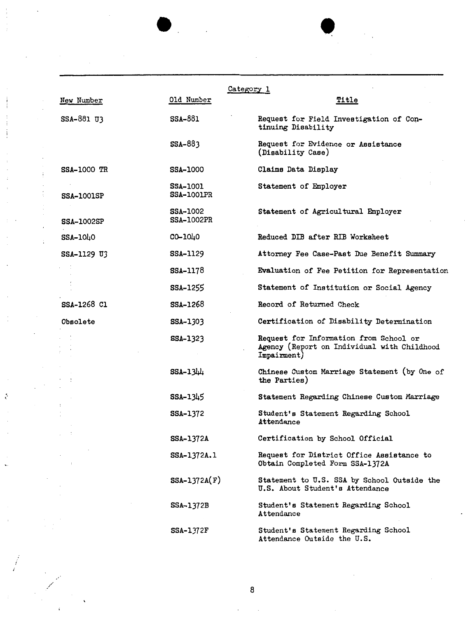|                    | Old Number                           | Category 1<br><b>Title</b>                                                                           |
|--------------------|--------------------------------------|------------------------------------------------------------------------------------------------------|
| New Number         |                                      |                                                                                                      |
| SSA-881 U3         | <b>SSA-881</b>                       | Request for Field Investigation of Con-<br>tinuing Disability                                        |
|                    | $SSA-883$                            | Request for Evidence or Assistance<br>(Disability Case)                                              |
| <b>SSA-1000 TR</b> | <b>SSA-1000</b>                      | Claims Data Display                                                                                  |
| <b>SSA-1001SP</b>  | <b>SSA-1001</b><br><b>SSA-1001PR</b> | Statement of Employer                                                                                |
| <b>SSA-1002SP</b>  | <b>SSA-1002</b><br><b>SSA-1002PR</b> | Statement of Agricultural Employer                                                                   |
| SSA-1040           | CO-1040                              | Reduced DIB after RIB Worksheet                                                                      |
| SSA-1129 U3        | <b>SSA-1129</b>                      | Attorney Fee Case-Past Due Benefit Summary                                                           |
|                    | <b>SSA-1178</b>                      | Evaluation of Fee Petition for Representation                                                        |
|                    | SSA-1255                             | Statement of Institution or Social Agency                                                            |
| SSA-1268 Cl        | SSA-1268                             | Record of Returned Check                                                                             |
| Obsolete           | SSA-1303                             | Certification of Disability Determination                                                            |
|                    | SSA-1323                             | Request for Information from School or<br>Agency (Report on Individual with Childhood<br>Impairment) |
|                    | $SSA-1344$                           | Chinese Custom Marriage Statement (by One of<br>the Parties)                                         |
|                    | SSA-1345                             | Statement Regarding Chinese Custom Marriage                                                          |
|                    | SSA-1372                             | Student's Statement Regarding School<br>Attendance                                                   |
|                    | SSA-1372A                            | Certification by School Official                                                                     |
|                    | SSA-1372A.1                          | Request for District Office Assistance to<br>Obtain Completed Form SSA-1372A                         |
|                    | $SSA-1372A(F)$                       | Statement to U.S. SSA by School Outside the<br>U.S. About Student's Attendance                       |
|                    | <b>SSA-1372B</b>                     | Student's Statement Regarding School<br>Attendance                                                   |
|                    | <b>SSA-1372F</b>                     | Student's Statement Regarding School<br>Attendance Outside the U.S.                                  |

 $\ddot{\psi}$ 

*\_/* 8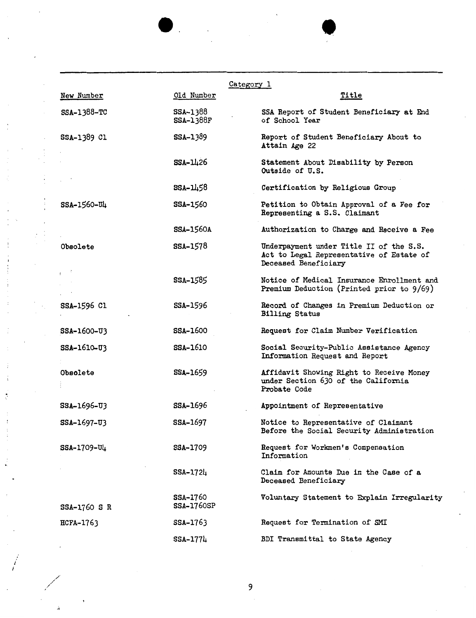|                  |                                      | Category 1                                                                                                  |
|------------------|--------------------------------------|-------------------------------------------------------------------------------------------------------------|
| New Number       | Old Number                           | <u>Title</u>                                                                                                |
| SSA-1388-TC      | <b>SSA-1388</b><br><b>SSA-1388F</b>  | SSA Report of Student Beneficiary at End<br>of School Year                                                  |
| SSA-1389 Cl      | <b>SSA-1389</b>                      | Report of Student Beneficiary About to<br>Attain Age 22                                                     |
|                  | <b>SSA-1426</b>                      | Statement About Disability by Person<br>Outside of U.S.                                                     |
|                  | $SSA - 11.58$                        | Certification by Religious Group                                                                            |
| SSA-1560-U4      | <b>SSA-1560</b>                      | Petition to Obtain Approval of a Fee for<br>Representing a S.S. Claimant                                    |
|                  | <b>SSA-1560A</b>                     | Authorization to Charge and Receive a Fee                                                                   |
| Obsolete         | <b>SSA-1578</b>                      | Underpayment under Title II of the S.S.<br>Act to Legal Representative of Estate of<br>Deceased Beneficiary |
|                  | SSA-1585                             | Notice of Medical Insurance Enrollment and<br>Premium Deduction (Printed prior to 9/69)                     |
| SSA-1596 C1      | <b>SSA-1596</b>                      | Record of Changes in Premium Deduction or<br><b>Billing Status</b>                                          |
| SSA-1600-U3      | <b>SSA-1600</b>                      | Request for Claim Number Verification                                                                       |
| SSA-1610-U3      | <b>SSA-1610</b>                      | Social Security-Public Assistance Agency<br>Information Request and Report                                  |
| Obsolete         | <b>SSA-1659</b>                      | Affidavit Showing Right to Receive Money<br>under Section 630 of the California<br>Probate Code             |
| SSA-1696-U3      | <b>SSA-1696</b>                      | Appointment of Representative                                                                               |
| SSA-1697-U3      | SSA-1697                             | Notice to Representative of Claimant<br>Before the Social Security Administration                           |
| SSA-1709-U4      | <b>SSA-1709</b>                      | Request for Workmen's Compensation<br>Information                                                           |
|                  | SSA-1724                             | Claim for Amounts Due in the Case of a<br>Deceased Beneficiary                                              |
| SSA-1760 S R     | <b>SSA-1760</b><br><b>SSA-1760SP</b> | Voluntary Statement to Explain Irregularity                                                                 |
| <b>HCFA-1763</b> | SSA-1763                             | Request for Termination of SMI                                                                              |
|                  | SSA-1774                             | BDI Transmittal to State Agency                                                                             |
|                  |                                      |                                                                                                             |

•

9

I I

÷,

 $\frac{1}{4}$  $\overline{\phantom{a}}$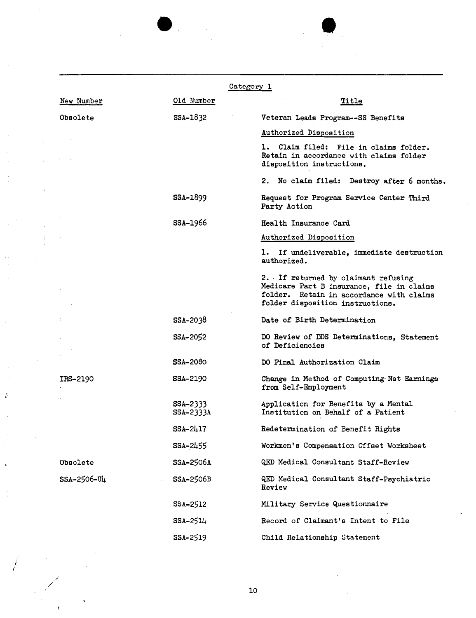|                 |                       | Category 1                                                                                                                                                       |
|-----------------|-----------------------|------------------------------------------------------------------------------------------------------------------------------------------------------------------|
| New Number      | Old Number            | Title                                                                                                                                                            |
| Obsolete        | SSA-1832              | Veteran Leads Program--SS Benefits                                                                                                                               |
|                 |                       | Authorized Disposition                                                                                                                                           |
|                 |                       | 1. Claim filed: File in claims folder.<br>Retain in accordance with claims folder<br>disposition instructions.                                                   |
|                 |                       | No claim filed: Destroy after 6 months.<br>2.                                                                                                                    |
|                 | <b>SSA-1899</b>       | Request for Program Service Center Third<br>Party Action                                                                                                         |
|                 | <b>SSA-1966</b>       | Health Insurance Card                                                                                                                                            |
|                 |                       | Authorized Disposition                                                                                                                                           |
|                 |                       | 1. If undeliverable, immediate destruction<br>authorized.                                                                                                        |
|                 |                       | 2. If returned by claimant refusing<br>Medicare Part B insurance, file in claims<br>folder. Retain in accordance with claims<br>folder disposition instructions. |
|                 | SSA-2038              | Date of Birth Determination                                                                                                                                      |
|                 | SSA-2052              | DO Review of DDS Determinations, Statement<br>of Deficiencies                                                                                                    |
|                 | <b>SSA-2080</b>       | DO Final Authorization Claim                                                                                                                                     |
| <b>IRS-2190</b> | <b>SSA-2190</b>       | Change in Method of Computing Net Earnings<br>from Self-Employment                                                                                               |
|                 | SSA-2333<br>SSA-2333A | Application for Benefits by a Mental<br>Institution on Behalf of a Patient                                                                                       |
|                 | $SSA - 2417$          | Redetermination of Benefit Rights                                                                                                                                |
|                 | <b>SSA-</b> 2455      | Workmen's Compensation Offset Worksheet                                                                                                                          |
| Obsolete        | <b>SSA-2506A</b>      | QED Medical Consultant Staff-Review                                                                                                                              |
| SSA-2506-U4     | <b>SSA-2506B</b>      | QED Medical Consultant Staff-Psychiatric<br>Review                                                                                                               |
|                 | SSA-2512              | Military Service Questionnaire                                                                                                                                   |
|                 | SSA-2514              | Record of Claimant's Intent to File                                                                                                                              |
|                 | SSA-2519              | Child Relationship Statement                                                                                                                                     |
|                 |                       |                                                                                                                                                                  |

e.

10

 $\cdot$ 

/

 $\ddot{\cdot}$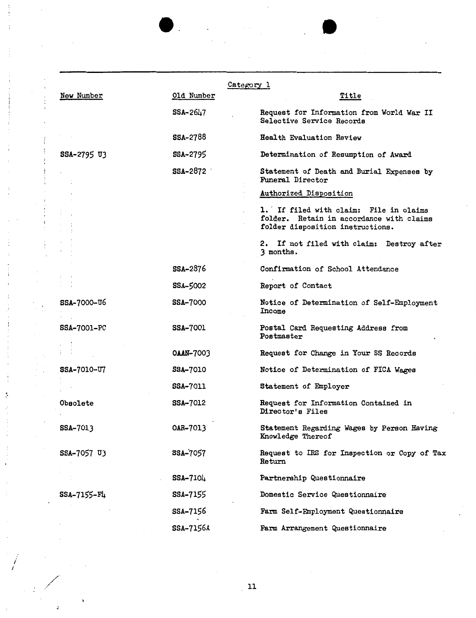|                    |                  | Category 1                                                                                                             |  |  |
|--------------------|------------------|------------------------------------------------------------------------------------------------------------------------|--|--|
| New Number         | Old Number       | <u>Title</u>                                                                                                           |  |  |
|                    | SSA-2647         | Request for Information from World War II<br>Selective Service Records                                                 |  |  |
|                    | <b>SSA-2788</b>  | Health Evaluation Review                                                                                               |  |  |
| SSA-2795 U3        | SSA-2795         | Determination of Resumption of Award                                                                                   |  |  |
|                    | SSA-2872         | Statement of Death and Burial Expenses by<br>Funeral Director                                                          |  |  |
|                    |                  | Authorized Disposition                                                                                                 |  |  |
|                    |                  | 1. If filed with claim: File in claims<br>folder. Retain in accordance with claims<br>folder disposition instructions. |  |  |
|                    |                  | 2. If not filed with claim: Destroy after<br>3 months.                                                                 |  |  |
|                    | SSA-2876         | Confirmation of School Attendance                                                                                      |  |  |
|                    | SSA-5002         | Report of Contact                                                                                                      |  |  |
| SSA-7000-06        | SSA-7000         | Notice of Determination of Self-Employment<br>Income                                                                   |  |  |
| <b>SSA-7001-PC</b> | <b>SSA-7001</b>  | Postal Card Requesting Address from<br>Postmaster                                                                      |  |  |
|                    | <b>OAAN-7003</b> | Request for Change in Your SS Records                                                                                  |  |  |
| <b>SSA-7010-U7</b> | <b>SSA-7010</b>  | Notice of Determination of FICA Wages                                                                                  |  |  |
|                    | <b>SSA-7011</b>  | Statement of Employer                                                                                                  |  |  |
| Obsolete           | <b>SSA-7012</b>  | Request for Information Contained in<br>Director's Files                                                               |  |  |
| SSA-7013           | 0AR-7013         | Statement Regarding Wages by Person Having<br>Knowledge Thereof                                                        |  |  |
| SSA-7057 U3        | SSA-7057         | Request to IRS for Inspection or Copy of Tax<br><b>Return</b>                                                          |  |  |
|                    | SSA-7104         | Partnership Questionnaire                                                                                              |  |  |
| SSA-7155-F4        | SSA-7155         | Domestic Service Questionnaire                                                                                         |  |  |
|                    | SSA-7156         | Farm Self-Employment Questionnaire                                                                                     |  |  |
|                    | SSA-7156A        | Farm Arrangement Questionnaire                                                                                         |  |  |

 $\hat{\mathcal{A}}$ 

 $\ddot{\phantom{a}}$ 

 $\overline{\phantom{a}}$ 

 $\overline{\phantom{a}}$ 

 $\mathcal{A}=\mathcal{A}$ 

 $11$ 

*i i* 

 $\alpha = \alpha$ 

 $\lambda$ 

J,

 $\bar{z}$ 

 $\bar{\mathcal{A}}$ 

 $\overline{\phantom{a}}$  $\bar{z}$ 

 $\ddot{\phi}$ ŀ,

 $\sim$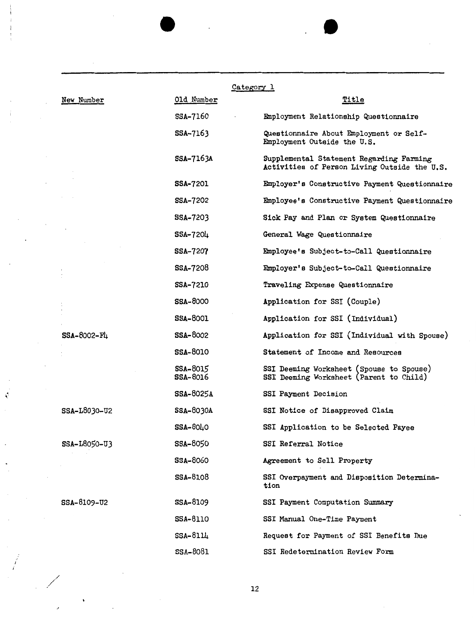|              | Category 1                  |                                                                                          |
|--------------|-----------------------------|------------------------------------------------------------------------------------------|
| New Number   | Old Number                  | Title                                                                                    |
|              | SSA-7160                    | Employment Relationship Questionnaire                                                    |
|              | SSA-7163                    | Questionnaire About Employment or Self-<br>Employment Outside the U.S.                   |
|              | SSA-7163A                   | Supplemental Statement Regarding Farming<br>Activities of Person Living Outside the U.S. |
|              | <b>SSA-7201</b>             | Employer's Constructive Payment Questionnaire                                            |
|              | <b>SSA-7202</b>             | Employee's Constructive Payment Questionnaire                                            |
|              | SSA-7203                    | Sick Pay and Plan or System Questionnaire                                                |
|              | $SSA - 7204$                | General Wage Questionnaire                                                               |
|              | SSA-7207                    | Employee's Subject-to-Call Questionnaire                                                 |
|              | <b>SSA-7208</b>             | Employer's Subject-to-Call Questionnaire                                                 |
|              | <b>SSA-7210</b>             | Traveling Expense Questionnaire                                                          |
|              | <b>SSA-8000</b>             | Application for SSI (Couple)                                                             |
|              | <b>SSA-8001</b>             | Application for SSI (Individual)                                                         |
| SSA-8002-F4  | <b>SSA-8002</b>             | Application for SSI (Individual with Spouse)                                             |
|              | <b>SSA-8010</b>             | Statement of Income and Resources                                                        |
|              | SSA-8015<br><b>SSA-8016</b> | SSI Deeming Worksheet (Spouse to Spouse)<br>SSI Deeming Worksheet (Parent to Child)      |
|              | SSA-8025A                   | SSI Payment Decision                                                                     |
| SSA-L8030-U2 | <b>SSA-8030A</b>            | SSI Notice of Disapproved Claim                                                          |
|              | $SSA-80L0$                  | SSI Application to be Selected Payee                                                     |
| SSA-L8050-U3 | SSA-8050                    | SSI Referral Notice                                                                      |
|              | <b>SSA-8060</b>             | Agreement to Sell Property                                                               |
|              | <b>SSA-8108</b>             | SSI Overpayment and Disposition Determina-<br>tion                                       |
| SSA-8109-U2  | <b>SSA-8109</b>             | SSI Payment Computation Summary                                                          |
|              | <b>SSA-8110</b>             | SSI Manual One-Time Payment                                                              |
|              | $SSA-811L$                  | Request for Payment of SSI Benefits Due                                                  |
|              | <b>SSA-8081</b>             | SSI Redetermination Review Form                                                          |

 $\overline{a}$ 

12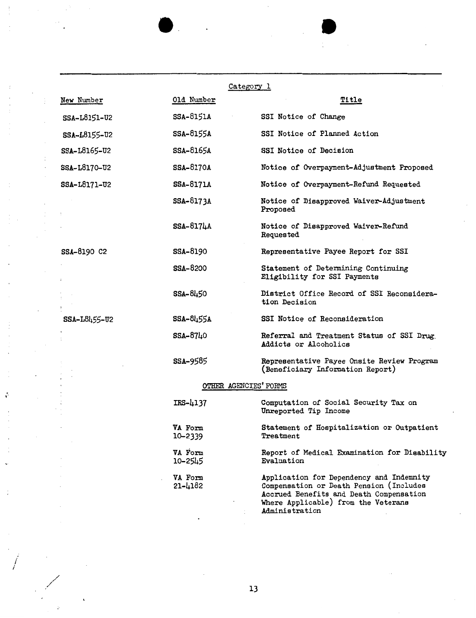|              |                    | <u>Category l</u>                                                                                                                                                                       |
|--------------|--------------------|-----------------------------------------------------------------------------------------------------------------------------------------------------------------------------------------|
| New Number   | Old Number         | <u>Title</u>                                                                                                                                                                            |
| SSA-L8151-U2 | SSA-8151A          | SSI Notice of Change                                                                                                                                                                    |
| SSA-L8155-U2 | <b>SSA-8155A</b>   | SSI Notice of Planned Action                                                                                                                                                            |
| SSA-L8165-U2 | SSA-8165A          | SSI Notice of Decision                                                                                                                                                                  |
| SSA-L8170-U2 | <b>SSA-8170A</b>   | Notice of Overpayment-Adjustment Proposed                                                                                                                                               |
| SSA-L8171-U2 | <b>SSA-8171A</b>   | Notice of Overpayment-Refund Requested                                                                                                                                                  |
|              | <b>SSA-8173A</b>   | Notice of Disapproved Waiver-Adjustment<br>Proposed                                                                                                                                     |
|              | <b>SSA-8174A</b>   | Notice of Disapproved Waiver-Refund<br>Requested                                                                                                                                        |
| SSA-8190 C2  | <b>SSA-8190</b>    | Representative Payee Report for SSI                                                                                                                                                     |
|              | <b>SSA-8200</b>    | Statement of Determining Continuing<br>Eligibility for SSI Payments                                                                                                                     |
|              | SSA-8450           | District Office Record of SSI Reconsidera-<br>tion Decision                                                                                                                             |
| SSA-L8455-U2 | SSA-8455A          | SSI Notice of Reconsideration                                                                                                                                                           |
|              | SSA-8740           | Referral and Treatment Status of SSI Drug.<br>Addicts or Alcoholics                                                                                                                     |
|              | <b>SSA-9585</b>    | Representative Payee Onsite Review Program<br>(Beneficiary Information Report)                                                                                                          |
|              |                    | OTHER AGENCIES' FORMS                                                                                                                                                                   |
|              | $IRS-4137$         | Computation of Social Security Tax on<br>Unreported Tip Income                                                                                                                          |
|              | VA Form<br>10-2339 | Statement of Hospitalization or Outpatient<br>$Treatment$                                                                                                                               |
|              | VA Form<br>10-2545 | Report of Medical Examination for Disability<br>Evaluation                                                                                                                              |
|              | VA Form<br>21-4182 | Application for Dependency and Indemnity<br>Compensation or Death Pension (Includes<br>Accrued Benefits and Death Compensation<br>Where Applicable) from the Veterans<br>Administration |

 $\ddot{\phantom{a}}$ 

*j* 

÷

I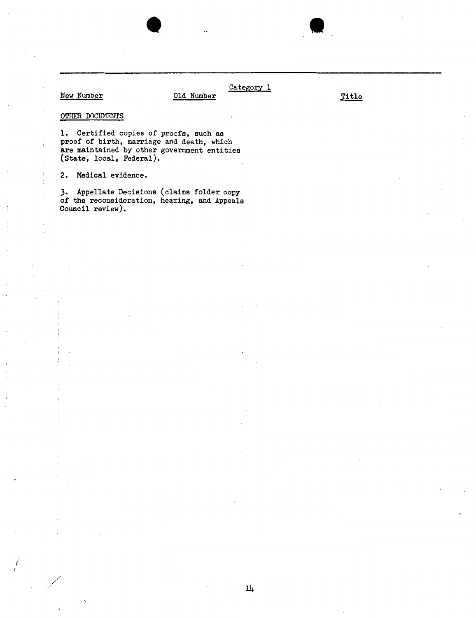## New Number 01d Number Title

 $\cdot$ 

j

Category 1

## OTHER DOCUMENTS

1. Certified copies of proofs, such as proof of birth, marriage and death, which are maintained by other government entities (State, local, Federal).

•

2. Medical evidence.

*3.* Appellate Decisions (claims folder copy of the reconsideration, hearing, and Appeals Council review).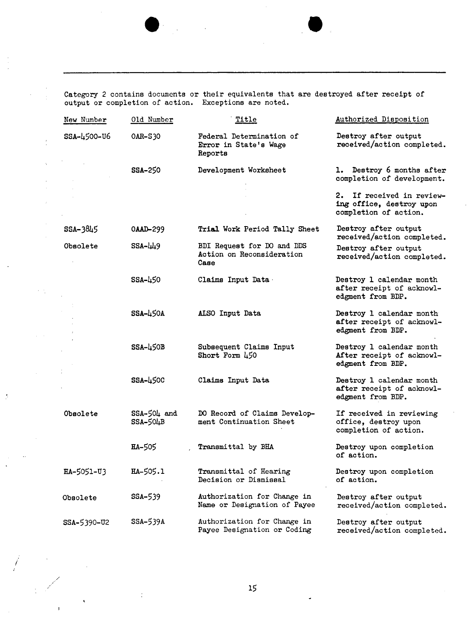Category 2 contains documents or their equivalents that are destroyed after receipt of output or completion of action, Exceptions are noted.

| New Number      | Old Number                | Title                                                           | Authorized Disposition                                                         |
|-----------------|---------------------------|-----------------------------------------------------------------|--------------------------------------------------------------------------------|
| SSA-4500-U6     | OAR-S30                   | Federal Determination of<br>Error in State's Wage<br>Reports    | Destroy after output<br>received/action completed.                             |
|                 | <b>SSA-250</b>            | Development Worksheet                                           | 1. Destroy 6 months after<br>completion of development.                        |
|                 |                           |                                                                 | 2. If received in review-<br>ing office, destroy upon<br>completion of action. |
| SSA-3845        | 0AAD-299                  | Trial Work Period Tally Sheet                                   | Destroy after output<br>received/action completed.                             |
| <b>Obsolete</b> | SSA-449                   | BDI Request for DO and DDS<br>Action on Reconsideration<br>Саве | Destroy after output<br>received/action completed.                             |
|                 | <b>SSA-450</b>            | Claims Input Data                                               | Destroy 1 calendar month<br>after receipt of acknowl-<br>edgment from BDP.     |
|                 | $SSA-L50A$                | ALSO Input Data                                                 | Destroy 1 calendar month<br>after receipt of acknowl-<br>edgment from BDP.     |
|                 | $SSA-L50B$                | Subsequent Claims Input<br>Short Form 450                       | Destroy 1 calendar month<br>After receipt of acknowl-<br>edgment from BDP.     |
|                 | SSA-450C                  | Claims Input Data                                               | Destroy 1 calendar month<br>after receipt of acknowl-<br>edgment from BDP.     |
| Obsolete        | $SSA-50L$ and<br>SSA-504B | DO Record of Claims Develop-<br>ment Continuation Sheet         | If received in reviewing<br>office, destroy upon<br>completion of action.      |
|                 | <b>HA-505</b>             | Transmittal by BHA                                              | Destroy upon completion<br>of action.                                          |
| HA-5051-U3      | <b>HA-505.1</b>           | Transmittal of Hearing<br>Decision or Dismissal                 | Destroy upon completion<br>of action.                                          |
| Obsolete        | SSA-539                   | Authorization for Change in<br>Name or Designation of Payee     | Destroy after output<br>received/action completed.                             |
| SSA-5390-U2     | SSA-539A                  | Authorization for Change in<br>Payee Designation or Coding      | Destroy after output<br>received/action completed.                             |

15

*i* 

/

 $\ddot{\cdot}$ 

 $\frac{1}{\sqrt{2}}$ 

 $\epsilon \rightarrow 0$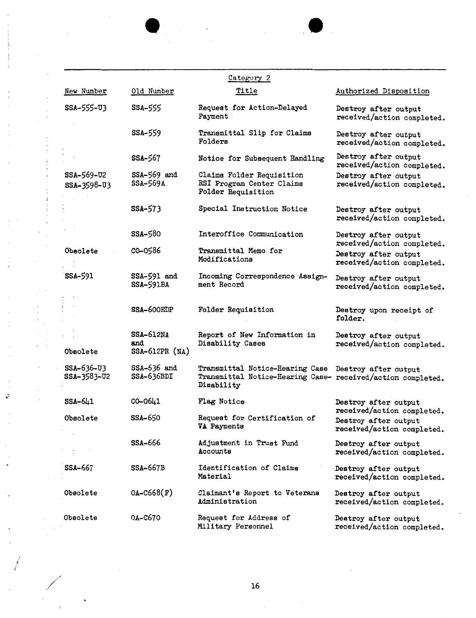|                           |                                           | Category 2                                                                                                                        |                                                    |
|---------------------------|-------------------------------------------|-----------------------------------------------------------------------------------------------------------------------------------|----------------------------------------------------|
| New Number                | Old Number                                | Title                                                                                                                             | Authorized Disposition                             |
| SSA-555-03                | <b>SSA-555</b>                            | Request for Action-Delayed<br>Payment                                                                                             | Destroy after output<br>received/action completed. |
|                           | <b>SSA-559</b>                            | Transmittal Slip for Claims<br>Folders                                                                                            | Destroy after output<br>received/action completed. |
|                           | SSA-567                                   | Notice for Subsequent Handling                                                                                                    | Destroy after output<br>received/action completed. |
| SSA-569-U2<br>SSA-3598-U3 | $SSA-569$ and<br>SSA-569A                 | Claims Folder Requisition<br>RSI Program Center Claims<br>Folder Requisition                                                      | Destroy after output<br>received/action completed. |
|                           | SSA-573                                   | Special Instruction Notice                                                                                                        | Destroy after output<br>received/action completed. |
|                           | SSA-580                                   | Interoffice Communication                                                                                                         | Destroy after output<br>received/action completed. |
| Obsolete                  | CO-0586                                   | <b>Transmittal Memo for</b><br>Modifications                                                                                      | Destroy after output<br>received/action completed. |
| SSA-591                   | SSA-591 and<br><b>SSA-591BA</b>           | Incoming Correspondence Assign-<br>ment Record                                                                                    | Destroy after output<br>received/action completed. |
|                           | SSA-600EDP                                | Folder Requisition                                                                                                                | Destroy upon receipt of<br>folder.                 |
| Obsolete                  | <b>SSA-612NA</b><br>and<br>SSA-612PR (NA) | Report of New Information in<br>Disability Cases                                                                                  | Destroy after output<br>received/action completed. |
| SSA-636-U3<br>SSA-3583-U2 | $SSA-636$ and<br>SSA-636BDI               | Transmittal Notice-Hearing Case Destroy after output<br>Transmittal Notice-Hearing Case- received/action completed.<br>Disability |                                                    |
| $SSA-641$                 | CO-0641                                   | Flag Notice                                                                                                                       | Destroy after output<br>received/action completed. |
| Obsolete                  | <b>SSA-650</b>                            | Request for Certification of<br>VA Payments                                                                                       | Destroy after output<br>received/action completed. |
|                           | SSA-666                                   | Adjustment in Trust Fund<br>Accounts                                                                                              | Destroy after output<br>received/action completed. |
| <b>SSA-667</b>            | <b>SSA-667B</b>                           | Identification of Claims<br>Material                                                                                              | Destroy after output<br>received/action completed. |
| Obsolete                  | $OA - C668(F)$                            | Claimant's Report to Veterans<br>Administration                                                                                   | Destroy after output<br>received/action completed. |
| Obsolete                  | 0A-C670                                   | Request for Address of<br>Military Personnel                                                                                      | Destroy after output<br>received/action completed. |

÷

16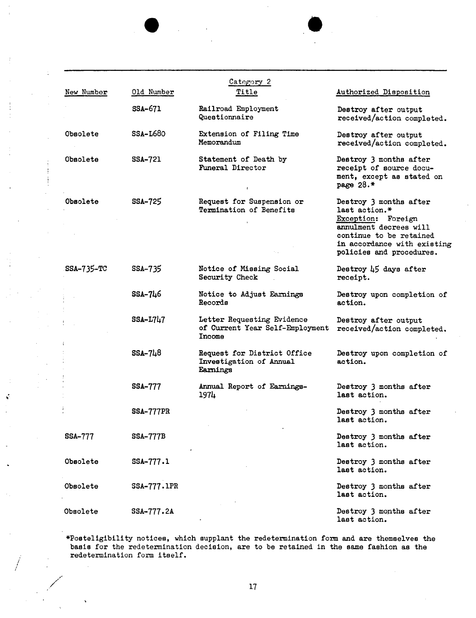| New Number     | Old Number       | Category 2<br>Title                                                     | Authorized Disposition                                                                                                                                                        |
|----------------|------------------|-------------------------------------------------------------------------|-------------------------------------------------------------------------------------------------------------------------------------------------------------------------------|
|                | SSA-671          | Railroad Employment<br>Questionnaire                                    | Destroy after output<br>received/action completed.                                                                                                                            |
| Obsolete       | $SSA-L680$       | Extension of Filing Time<br>Memorandum                                  | Destroy after output<br>received/action completed.                                                                                                                            |
| Obsolete       | SSA-721          | Statement of Death by<br>Funeral Director                               | Destroy 3 months after<br>receipt of source docu-<br>ment, except as stated on<br>page $28.*$                                                                                 |
| Obsolete       | SSA-725          | Request for Suspension or<br>Termination of Benefits                    | Destroy 3 months after<br>last action.*<br>Exception: Foreign<br>annulment decrees will<br>continue to be retained<br>in accordance with existing<br>policies and procedures. |
| $SSA-735-TC$   | SSA-735          | Notice of Missing Social<br>Security Check                              | Destroy 45 days after<br>receipt.                                                                                                                                             |
|                | SSA-746          | Notice to Adjust Earnings<br>Records                                    | Destroy upon completion of<br>action.                                                                                                                                         |
|                | <b>SSA-L747</b>  | Letter Requesting Evidence<br>of Current Year Self-Employment<br>Income | Destroy after output<br>received/action completed.                                                                                                                            |
|                | $SSA-748$        | Request for District Office<br>Investigation of Annual<br>Earnings      | Destroy upon completion of<br>action.                                                                                                                                         |
|                | <b>SSA-777</b>   | Annual Report of Earnings-<br>1974                                      | Destroy 3 months after<br>last action.                                                                                                                                        |
|                | <b>SSA-777PR</b> |                                                                         | Destroy 3 months after<br>last action.                                                                                                                                        |
| <b>SSA-777</b> | <b>SSA-777B</b>  |                                                                         | Destroy 3 months after<br>last action.                                                                                                                                        |
| Obsolete       | SSA-777.1        |                                                                         | Destroy 3 months after<br>last action.                                                                                                                                        |
| Obsolete       | SSA-777.1PR      |                                                                         | Destroy 3 months after<br>last action.                                                                                                                                        |
| Obsolete       | SSA-777.2A       |                                                                         | Destroy 3 months after<br>last action.                                                                                                                                        |

Ý

\*Posteligibility notices, which supplant the redetermination form and are themselves the basis for the redetermination decision, are to be retained in the same fashion as the redetermination form itself.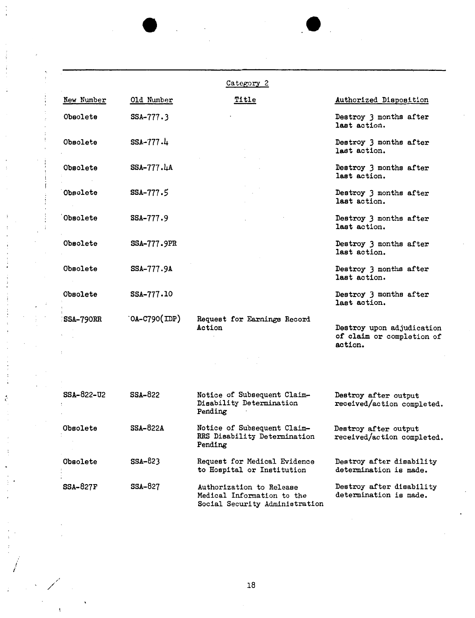|                  |                             | Category 2                                                                               |                                                                   |
|------------------|-----------------------------|------------------------------------------------------------------------------------------|-------------------------------------------------------------------|
| New Number       | Old Number                  | Title                                                                                    | Authorized Disposition                                            |
| Obsolete         | $SSA-777.3$                 |                                                                                          | Destroy 3 months after<br>last action.                            |
| Obsolete         | $SSA-777.4$                 |                                                                                          | Destroy 3 months after<br>last action.                            |
| Obsolete         | SSA-777.4A                  |                                                                                          | Destroy 3 months after<br>last action.                            |
| Obsolete         | SSA-777.5                   |                                                                                          | Destroy 3 months after<br>last action.                            |
| Obsolete         | $SSA-777.9$                 |                                                                                          | Destroy 3 months after<br>last action.                            |
| Obsolete         | <b>SSA-777.9PR</b>          |                                                                                          | Destroy 3 months after<br>last action.                            |
| <b>Obsolete</b>  | SSA-777.9A                  |                                                                                          | Destroy 3 months after<br>last action.                            |
| Obsolete         | SSA-777.10                  |                                                                                          | Destroy 3 months after<br>last action.                            |
| <b>SSA-790RR</b> | $\text{OA-C790}(\text{DP})$ | Request for Earnings Record<br>Action                                                    | Destroy upon adjudication<br>of claim or completion of<br>action. |
|                  |                             |                                                                                          |                                                                   |
|                  |                             |                                                                                          |                                                                   |
| SSA-822-U2       | $SSA-822$                   | Notice of Subsequent Claim-<br>Disability Determination<br>Pending                       | Destroy after output<br>received/action completed.                |
| Obsolete         | <b>SSA-822A</b>             | Notice of Subsequent Claim-<br>RRS Disability Determination<br>Pending                   | Destroy after output<br>received/action completed.                |
| <b>Obsolete</b>  | SSA-823                     | Request for Medical Evidence<br>to Hospital or Institution                               | Destroy after disability<br>determination is made.                |
| <b>SSA-827F</b>  | SSA-827                     | Authorization to Release<br>Medical Information to the<br>Social Security Administration | Destroy after disability<br>determination is made.                |

*i I* 

í

/ /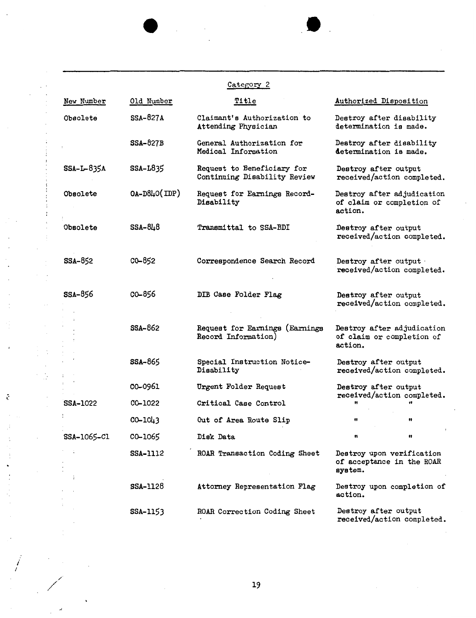|                 |                 | Category 2                                                 |                                                                    |
|-----------------|-----------------|------------------------------------------------------------|--------------------------------------------------------------------|
| New Number      | Old Number      | Title                                                      | Authorized Disposition                                             |
| Obsolete        | $SSA-827A$      | Claimant's Authorization to<br>Attending Physician         | Destroy after disability<br>determination is made.                 |
|                 | <b>SSA-827B</b> | General Authorization for<br>Medical Information           | Destroy after disability<br>determination is made.                 |
| SSA-L-835A      | SSA-L835        | Request to Beneficiary for<br>Continuing Disability Review | Destroy after output<br>received/action completed.                 |
| Obsolete        | $OA-D8L(OP)$    | Request for Earnings Record-<br>Disability                 | Destroy after adjudication<br>of claim or completion of<br>action. |
| Obsolete        | SSA-848         | Transmittal to SSA-BDI                                     | Destroy after output<br>received/action completed.                 |
| SSA-852         | CO-852          | Correspondence Search Record                               | Destroy after output<br>received/action completed.                 |
| SSA-856         | CO-856          | DIB Case Folder Flag                                       | Destroy after output<br>received/action completed.                 |
|                 | SSA-862         | Request for Earnings (Earnings<br>Record Information)      | Destroy after adjudication<br>of claim or completion of<br>action. |
|                 | <b>SSA-865</b>  | Special Instruction Notice-<br>Disability                  | Destroy after output<br>received/action completed.                 |
|                 | CO-0961         | Urgent Folder Request                                      | Destroy after output                                               |
| <b>SSA-1022</b> | CO-1022         | Critical Case Control                                      | received/action completed.                                         |
|                 | $CO - 1043$     | Out of Area Route Slip                                     | 11<br>Ħ                                                            |
| SSA-1065-C1     | CO-1065         | Disk Data                                                  | 11<br>Ħ                                                            |
|                 | <b>SSA-1112</b> | ROAR Transaction Coding Sheet                              | Destroy upon verification<br>of acceptance in the ROAR<br>system.  |
|                 | <b>SSA-1128</b> | Attorney Representation Flag                               | Destroy upon completion of<br>action.                              |
|                 | SSA-1153        | ROAR Correction Coding Sheet                               | Destroy after output<br>received/action completed.                 |

 $\mathbb{R}^2$ 

 $\cdot$  $\overline{\phantom{a}}$ 

*i I* 

 $\sim$   $\sim$ 

 $\ddot{\phantom{a}}$ 

 $\frac{1}{2}$ 

 $\vdots$  $\vdots$  $\mathcal{I}$  $\bar{t}$ 

 $\ddot{\cdot}$  $\cdot$ Ġ

 $\sim$ 

 $\sim$ 

 $\ddot{\phantom{a}}$  $\cdot$ 

 $\ddot{\cdot}$ 

 $\pmb{\iota}$ 

ê

 $\cdot$  $\mathcal{J}$  $\ddot{\phantom{a}}$ 

 $\ddot{\cdot}$  $\ddot{\phantom{0}}$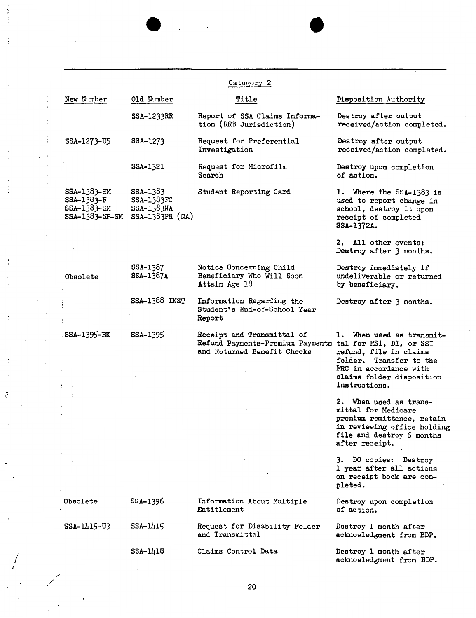|                                                              |                                                           | Category 2                                                                                                            |                                                                                                                                                           |
|--------------------------------------------------------------|-----------------------------------------------------------|-----------------------------------------------------------------------------------------------------------------------|-----------------------------------------------------------------------------------------------------------------------------------------------------------|
| New Number                                                   | <u>Old Number</u>                                         | Title                                                                                                                 | Disposition Authority                                                                                                                                     |
|                                                              | SSA-1233RR                                                | Report of SSA Claims Informa-<br>tion (RRB Jurisdiction)                                                              | Destroy after output<br>received/action completed.                                                                                                        |
| SSA-1273-U5                                                  | SSA-1273                                                  | Request for Preferential<br>Investigation                                                                             | Destroy after output<br>received/action completed.                                                                                                        |
|                                                              | SSA-1321                                                  | Request for Microfilm<br>Search                                                                                       | Destroy upon completion<br>of action.                                                                                                                     |
| SSA-1383-SM<br>$SSA-1383-F$<br>SSA-1383-SM<br>SSA-1383-SP-SM | SSA-1383<br>SSA-1383FC<br>SSA-1383NA<br>$SSA-1383PR (NA)$ | Student Reporting Card                                                                                                | 1. Where the SSA-1383 is<br>used to report change in<br>school, destroy it upon<br>receipt of completed<br>SSA-1372A.                                     |
|                                                              |                                                           |                                                                                                                       | 2. All other events:<br>Destroy after 3 months.                                                                                                           |
| Obsolete                                                     | SSA-1387<br>SSA-1387A                                     | Notice Concerning Child<br>Beneficiary Who Will Soon<br>Attain Age 18                                                 | Destroy immediately if<br>undeliverable or returned<br>by beneficiary.                                                                                    |
|                                                              | <b>SSA-1388 INST</b>                                      | Information Regarding the<br>Student's End-of-School Year<br>Report                                                   | Destroy after 3 months.                                                                                                                                   |
| . SSA-1395-BK                                                | SSA-1395                                                  | Receipt and Transmittal of<br>Refund Payments-Premium Payments tal for RSI, DI, or SSI<br>and Returned Benefit Checks | 1. When used as transmit-<br>refund, file in claims<br>folder. Transfer to the<br>FRC in accordance with<br>claims folder disposition<br>instructions.    |
|                                                              |                                                           |                                                                                                                       | 2. When used as trans-<br>mittal for Medicare<br>premium remittance, retain<br>in reviewing office holding<br>file and destroy 6 months<br>after receipt. |
|                                                              |                                                           |                                                                                                                       | 3. DO copies: Destroy<br>1 year after all actions<br>on receipt book are com-<br>pleted.                                                                  |
| Obsolete                                                     | SSA-1396                                                  | Information About Multiple<br>Entitlement                                                                             | Destroy upon completion<br>of action.                                                                                                                     |
| SSA-1415-U3                                                  | SSA-1415                                                  | Request for Disability Folder<br>and Transmittal                                                                      | Destroy 1 month after<br>acknowledgment from BDP.                                                                                                         |
|                                                              | $SSA - 1418$                                              | Claims Control Data                                                                                                   | Destroy 1 month after<br>acknowledgment from BDP.                                                                                                         |

t

,

 $\bullet$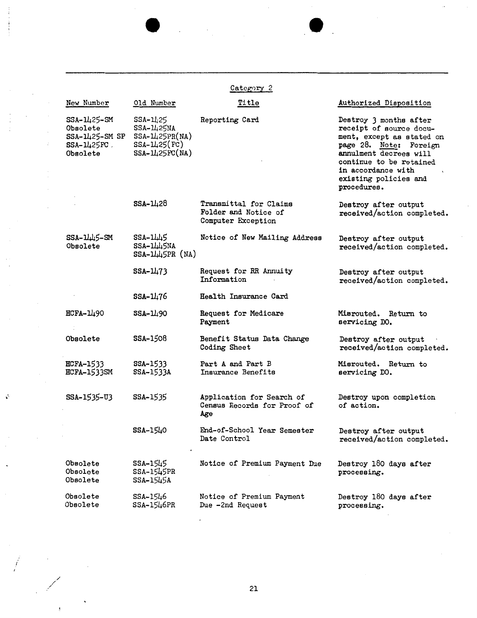|                                                                         |                                                                                             | Category <sub>2</sub>                                                |                                                                                                                                                                                                                             |
|-------------------------------------------------------------------------|---------------------------------------------------------------------------------------------|----------------------------------------------------------------------|-----------------------------------------------------------------------------------------------------------------------------------------------------------------------------------------------------------------------------|
| New Number                                                              | Old Number                                                                                  | Title                                                                | Authorized Disposition                                                                                                                                                                                                      |
| SSA-1425-SM<br>Obsolete<br>SSA-1425-SM SP<br>$SSA-1425FC$ .<br>Obsolete | $SSA - 1425$<br>$SSA - 1425NA$<br>$SSA - 1125PR(NA)$<br>SSA-1425(FC)<br>$SSA - 11425FC(NA)$ | Reporting Card                                                       | Destroy 3 months after<br>receipt of source docu-<br>ment, except as stated on<br>page 28. Note: Foreign<br>annulment decrees will<br>continue to be retained<br>in accordance with<br>existing policies and<br>procedures. |
|                                                                         | $SSA - 1428$                                                                                | Transmittal for Claims<br>Folder and Notice of<br>Computer Exception | Destroy after output<br>received/action completed.                                                                                                                                                                          |
| $SSA - 11.115 - SM$<br>Obsolete                                         | $SSA-1LL$<br>SSA-1445NA<br>$SSA-1145PR (NA)$                                                | Notice of New Mailing Address                                        | Destroy after output<br>received/action completed.                                                                                                                                                                          |
|                                                                         | $SSA - 11/73$                                                                               | Request for RR Annuity<br>Information                                | Destroy after output<br>received/action completed.                                                                                                                                                                          |
|                                                                         | SSA-1476                                                                                    | Health Insurance Card                                                |                                                                                                                                                                                                                             |
| HCFA-1490                                                               | $SSA - 1190$                                                                                | Request for Medicare<br>Payment                                      | Misrouted. Return to<br>servicing DO.                                                                                                                                                                                       |
| Obsolete                                                                | SSA-1508                                                                                    | Benefit Status Data Change<br>Coding Sheet                           | Destroy after output<br>received/action completed.                                                                                                                                                                          |
| <b>HCFA-1533</b><br><b>HCFA-1533SM</b>                                  | SSA-1533<br>SSA-1533A                                                                       | Part A and Part B<br>Insurance Benefits                              | Misrouted. Return to<br>servicing DO.                                                                                                                                                                                       |
| SSA-1535-U3                                                             | SSA-1535                                                                                    | Application for Search of<br>Census Records for Proof of<br>Age      | Destroy upon completion<br>of action.                                                                                                                                                                                       |
|                                                                         | $SSA-15L0$<br>$\bullet$                                                                     | End-of-School Year Semester<br>Date Control                          | Destroy after output<br>received/action completed.                                                                                                                                                                          |
| Obsolete<br>Obsolete<br>Obsolete                                        | SSA-1545<br>SSA-1545PR<br>SSA-1545A                                                         | Notice of Premium Payment Due                                        | Destroy 180 days after<br>processing.                                                                                                                                                                                       |
| Obsolete<br>Obsolete                                                    | SSA-1546<br>SSA-1546PR                                                                      | Notice of Premium Payment<br>Due -2nd Request                        | Destroy 180 days after<br>processing.                                                                                                                                                                                       |

 $\ddot{\phantom{0}}$ 

21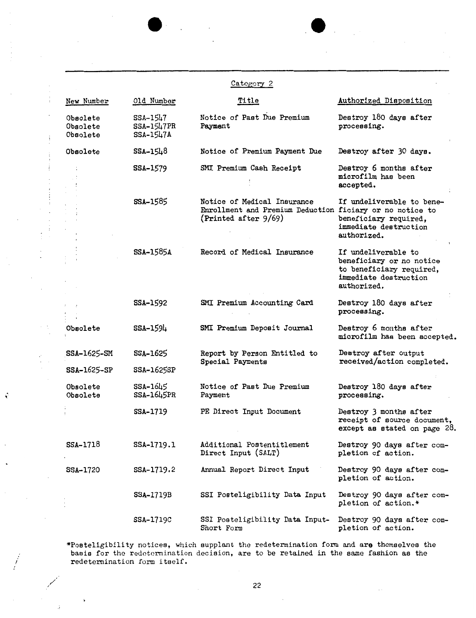|                                  |                                     | Category 2                                                                                                      |                                                                                                                     |
|----------------------------------|-------------------------------------|-----------------------------------------------------------------------------------------------------------------|---------------------------------------------------------------------------------------------------------------------|
| New Number                       | Old Number                          | Title                                                                                                           | Authorized Disposition                                                                                              |
| Obsolete<br>Obsolete<br>Obsolete | SSA-1547<br>SSA-1547PR<br>SSA-1547A | Notice of Past Due Premium<br>Payment                                                                           | Destroy 180 days after<br>processing.                                                                               |
| Obsolete                         | SSA-1548                            | Notice of Premium Payment Due                                                                                   | Destroy after 30 days.                                                                                              |
|                                  | SSA-1579                            | SMI Premium Cash Receipt                                                                                        | Destroy 6 months after<br>microfilm has been<br>accepted.                                                           |
|                                  | SSA-1585                            | Notice of Medical Insurance<br>Enrollment and Premium Deduction ficiary or no notice to<br>(Printed after 9/69) | If undeliverable to bene-<br>beneficiary required,<br>immediate destruction<br>authorized.                          |
|                                  | <b>SSA-1585A</b>                    | Record of Medical Insurance                                                                                     | If undeliverable to<br>beneficiary or no notice<br>to beneficiary required,<br>immediate destruction<br>authorized. |
|                                  | SSA-1592                            | SMI Premium Accounting Card                                                                                     | Destroy 180 days after<br>processing.                                                                               |
| Obsolete                         | SSA-1594                            | SMI Premium Deposit Journal                                                                                     | Destroy 6 months after<br>microfilm has been accepted.                                                              |
| SSA-1625-SM                      | SSA-1625                            | Report by Person Entitled to                                                                                    | Destroy after output<br>received/action completed.                                                                  |
| SSA-1625-SP                      | SSA-1625SP                          | Special Payments                                                                                                |                                                                                                                     |
| Obsolete<br>Obsolete             | SSA-1645<br>SSA-1645PR              | Notice of Past Due Premium<br>Payment                                                                           | Destroy 180 days after<br>processing.                                                                               |
|                                  | SSA-1719                            | PE Direct Input Document                                                                                        | Destroy 3 months after<br>receipt of source document,<br>except as stated on page 28.                               |
| SSA-1718                         | SSA-1719.1                          | Additional Postentitlement<br>Direct Input (SALT)                                                               | Destroy 90 days after com-<br>pletion of action.                                                                    |
| SSA-1720                         | SSA-1719.2                          | Annual Report Direct Input                                                                                      | Destroy 90 days after com-<br>pletion of action.                                                                    |
|                                  | SSA-1719B                           | SSI Posteligibility Data Input                                                                                  | Destroy 90 days after com-<br>pletion of action.*                                                                   |
|                                  | <b>SSA-1719C</b>                    | SSI Posteligibility Data Input-<br>Short Form                                                                   | Destroy 90 days after com-<br>pletion of action.                                                                    |

,·

 $\int\limits_{-L}^{L}% \frac{1}{2}x^{2}~d\mu(x)~d\mu(x)~d\mu(x)~d\mu(x)~d\mu(x)~d\mu(x)~d\mu(x)~d\mu(x)~d\mu(x)~d\mu(x)~d\mu(x)~d\mu(x)~d\mu(x)~d\mu(x)~d\mu(x)~d\mu(x)~d\mu(x)~d\mu(x)~d\mu(x)~d\mu(x)~d\mu(x)~d\mu(x)~d\mu(x)~d\mu(x)~d\mu(x)~d\mu(x)~d\mu(x)~d\mu(x)~d\mu(x)~d\mu(x)~d\mu(x)~d\mu(x)~d\mu(x)$ 

 $\ddot{\phantom{1}}$ 

\*Posteligibility notices, which supplant the redetermination fonn and **are** themselves the basis for the redetermination decision, are to be retained in the same fashion as the redetermination form itself.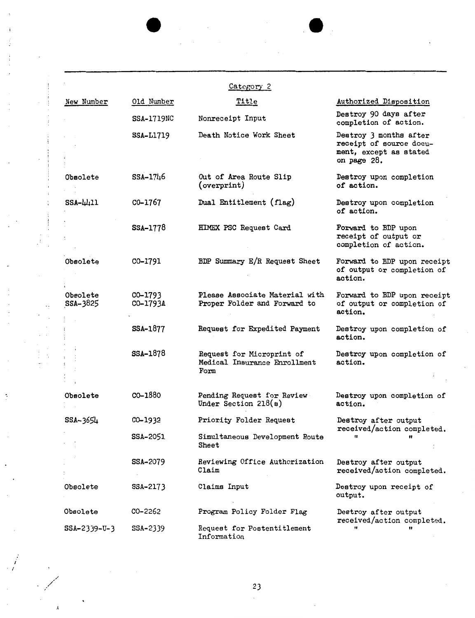|                      |                     | Category <sub>2</sub>                                                        |                                                                                            |
|----------------------|---------------------|------------------------------------------------------------------------------|--------------------------------------------------------------------------------------------|
| New Number           | Old Number          | Title                                                                        | Authorized Disposition                                                                     |
|                      | <b>SSA-1719NC</b>   | Nonreceipt Input                                                             | Destroy 90 days after<br>completion of action.                                             |
|                      | <b>SSA-L1719</b>    | Death Notice Work Sheet                                                      | Destroy 3 months after<br>receipt of source docu-<br>ment, except as stated<br>on page 28. |
| Obsolete             | SSA-1746            | Out of Area Route Slip<br>(overprint)                                        | Destroy upon completion<br>of action.                                                      |
| $SSA-\mu+11$         | CO-1767             | Dual Entitlement (flag)                                                      | Destroy upon completion<br>of action.                                                      |
|                      | SSA-1778            | HIMEX PSC Request Card                                                       | Forward to BDP upon<br>receipt of output or<br>completion of action.                       |
| Obsolete             | CO-1791             | BDP Summary E/R Request Sheet                                                | Forward to BDP upon receipt<br>of output or completion of<br>action.                       |
| Obsolete<br>SSA-3825 | CO-1793<br>CO-1793A | Please Associate Material with<br>Proper Folder and Forward to               | Forward to BDP upon receipt<br>of output or completion of<br>action.                       |
|                      | SSA-1877            | Request for Expedited Payment                                                | Destroy upon completion of<br>action.                                                      |
|                      | SSA-1878            | Request for Microprint of<br>Medical Insurance Enrollment<br>$\texttt{Form}$ | Destroy upon completion of<br>action.                                                      |
| Obsolete             | CO-1880             | Pending Request for Review<br>Under Section $218(a)$                         | Destroy upon completion of<br>action.                                                      |
| SSA-3654             | CO-1932             | Priority Folder Request                                                      | Destroy after output                                                                       |
|                      | SSA-2051            | Simultaneous Development Route<br>Sheet                                      | received/action completed.<br>11<br>Ħ                                                      |
|                      | SSA-2079            | Reviewing Office Authorization<br>Claim                                      | Destroy after output<br>received/action completed.                                         |
| Obsolete             | SSA-2173            | Claims Input                                                                 | Destroy upon receipt of<br>output.                                                         |
| Obsolete             | CO-2262             | Program Policy Folder Flag                                                   | Destroy after output<br>received/action completed.                                         |
| $SSA - 2339 - U - 3$ | SSA-2339            | Request for Postentitlement<br>Information                                   | Ħ<br>11                                                                                    |

 $\mathcal{L}^{\text{max}}_{\text{max}}$ 

23  $\hat{\mathcal{L}}$ 

 $\bar{\gamma}$ 

*I*  . *I* 

 $\lambda$ 

 $\ddot{\cdot}$ 

 $\ddot{\phi}$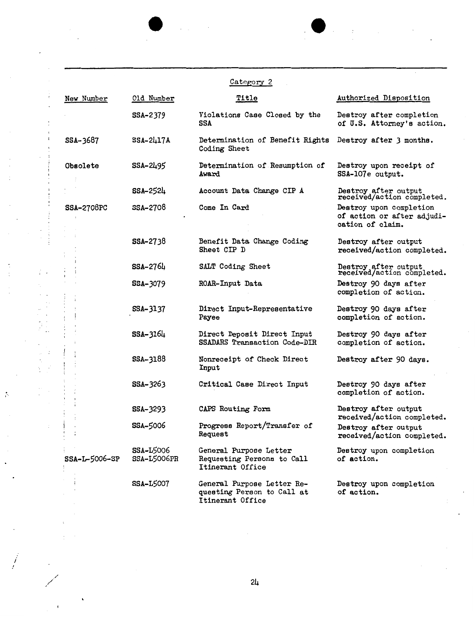| Category 2        |                                        |                                                                              |                                                                           |
|-------------------|----------------------------------------|------------------------------------------------------------------------------|---------------------------------------------------------------------------|
| New Number        | Old Number                             | <u>Title</u>                                                                 | Authorized Disposition                                                    |
|                   | SSA-2379                               | Violations Case Closed by the<br>SSA                                         | Destroy after completion<br>of U.S. Attorney's action.                    |
| SSA-3687          | $SSA-2417A$                            | Determination of Benefit Rights<br>Coding Sheet                              | Destroy after 3 months.                                                   |
| <b>Obsolete</b>   | SSA-2495                               | Determination of Resumption of<br>Award                                      | Destroy upon receipt of<br>SSA-107e output.                               |
|                   | $$SA-2524$                             | Account Data Change CIP A                                                    | Destroy after output<br>received/action completed.                        |
| <b>SSA-2708PC</b> | SSA-2708                               | Come In Card                                                                 | Destroy upon completion<br>of action or after adjudi-<br>cation of claim. |
|                   | <b>SSA-2738</b>                        | Benefit Data Change Coding<br>Sheet CIP D                                    | Destroy after output<br>received/action completed.                        |
|                   | $SSA - 276L$                           | SALT Coding Sheet                                                            | Destroy after output<br>received/action completed.                        |
|                   | <b>SSA-3079</b>                        | ROAR-Input Data                                                              | Destroy 90 days after<br>completion of action.                            |
|                   | SSA-3137                               | Direct Input-Representative<br>Payee                                         | Destroy 90 days after<br>completion of action.                            |
|                   | $SSA - 3164$                           | Direct Deposit Direct Input<br>SSADARS Transaction Code-DIR                  | Destroy 90 days after<br>completion of action.                            |
|                   | SSA-3188                               | Nonreceipt of Check Direct<br>Input                                          | Destroy after 90 days.                                                    |
|                   | SSA-3263                               | Critical Case Direct Input                                                   | Destroy 90 days after<br>completion of action.                            |
|                   | <b>SSA-3293</b>                        | CAPS Routing Form                                                            | Destroy after output<br>received/action completed.                        |
|                   | <b>SSA-5006</b>                        | Progress Report/Transfer of<br><b>Request</b>                                | Destroy after output<br>received/action completed.                        |
| SSA-L-5006-SP     | <b>SSA-L5006</b><br><b>SSA-L5006PR</b> | General Purpose Letter<br>Requesting Persons to Call<br>Itinerant Office     | Destroy upon completion<br>of action.                                     |
|                   | <b>SSA-L5007</b>                       | General Purpose Letter Re-<br>questing Person to Call at<br>Itinerant Office | Destroy upon completion<br>of action.                                     |

 $\frac{1}{\sqrt{2}}$ 

ł,

*i* 

 $\frac{1}{2}$ 

 $\ddot{\phi}$ 

 $\mathbb{F}_{\geq 0}$ 

 $\mathbb{P}^1_+$ 

 $\langle \rangle$  $\ddot{\phantom{1}}$  $\overline{\phantom{a}}$ 

 $\ddot{\cdot}$ 

 $\bar{\rm t}$  $\frac{1}{2}$ 

 $\ddot{\phantom{0}}$ 

 $\overline{\phantom{a}}$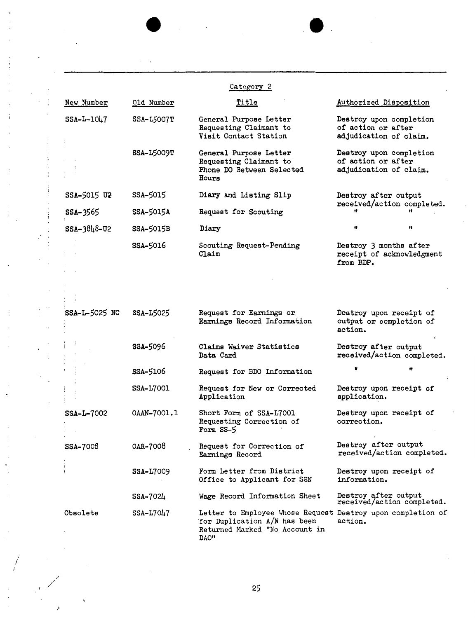Category 2

**e.** 

| New Number           | Old Number        | Title                                                                                                                                  | Authorized Disposition                                                  |
|----------------------|-------------------|----------------------------------------------------------------------------------------------------------------------------------------|-------------------------------------------------------------------------|
| $SSA-L-1047$         | <b>SSA-L5007T</b> | General Purpose Letter<br>Requesting Claimant to<br>Visit Contact Station                                                              | Destroy upon completion<br>of action or after<br>adjudication of claim. |
|                      | <b>SSA-L5009T</b> | General Purpose Letter<br>Requesting Claimant to<br>Phone DO Between Selected<br><b>Hours</b>                                          | Destroy upon completion<br>of action or after<br>adjudication of claim. |
| SSA-5015 U2          | SSA-5015          | Diary and Listing Slip                                                                                                                 | Destroy after output<br>received/action completed.                      |
| SSA-3565             | SSA-5015A         | Request for Scouting                                                                                                                   |                                                                         |
| SSA-3848-02          | SSA-5015B         | Diary                                                                                                                                  | Ħ                                                                       |
|                      | SSA-5016          | Scouting Request-Pending<br>$\mathtt{Claim}$                                                                                           | Destroy 3 months after<br>receipt of acknowledgment<br>from BDP.        |
|                      |                   |                                                                                                                                        |                                                                         |
|                      |                   |                                                                                                                                        |                                                                         |
| SSA-L-5025 NC        | SSA-L5025         | Request for Earnings or<br>Earnings Record Information                                                                                 | Destroy upon receipt of<br>output or completion of<br>action.           |
|                      | SSA-5096          | Claims Waiver Statistics<br>Data Card                                                                                                  | Destroy after output<br>received/action completed.                      |
|                      | SSA-5106          | Request for BDO Information                                                                                                            | Ħ<br>Ħ                                                                  |
|                      | <b>SSA-L7001</b>  | Request for New or Corrected<br>Application                                                                                            | Destroy upon receipt of<br>application.                                 |
| SSA-L-7002           | 0AAN-7001.1       | Short Form of SSA-L7001<br>Requesting Correction of<br>Form SS-5                                                                       | Destroy upon receipt of<br>correction.                                  |
| <b>SSA-7008</b>      | 0AR-7008          | Request for Correction of<br>Earnings Record                                                                                           | Destroy after output<br>received/action completed.                      |
| $\ddot{\phantom{1}}$ | SSA-L7009         | Form Letter from District<br>Office to Applicant for SSN                                                                               | Destroy upon receipt of<br>information.                                 |
|                      | $SSA - 702\mu$    | Wage Record Information Sheet                                                                                                          | Destroy after output<br>received/action completed.                      |
| Obsolete             | SSA-L7047         | Letter to Employee Whose Request Destroy upon completion of<br>'for Duplication A/N has been<br>Returned Marked "No Account in<br>DAO" | action.                                                                 |

/ /

*I* 

,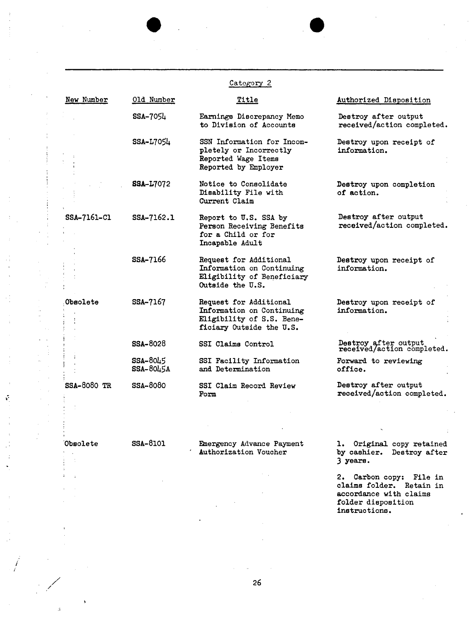|                    |                         | Category 2                                                                                                   |                                                    |
|--------------------|-------------------------|--------------------------------------------------------------------------------------------------------------|----------------------------------------------------|
| New Number         | Old Number              | Title                                                                                                        | Authorized Disposition                             |
|                    | SSA-7054                | Earnings Discrepancy Memo<br>to Division of Accounts                                                         | Destroy after output<br>received/action completed. |
|                    | SSA-L7054               | SSN Information for Incom-<br>pletely or Incorrectly<br>Reported Wage Items<br>Reported by Employer          | Destroy upon receipt of<br>information.            |
|                    | <b>SSA-L7072</b>        | Notice to Consolidate<br>Disability File with<br>Current Claim                                               | Destroy upon completion<br>of action.              |
| SSA-7161-C1        | SSA-7162.1              | Report to U.S. SSA by<br>Person Receiving Benefits<br>for a Child or for<br>Incapable Adult                  | Destroy after output<br>received/action completed. |
|                    | <b>SSA-7166</b>         | Request for Additional<br>Information on Continuing<br>Eligibility of Beneficiary<br>Outside the U.S.        | Destroy upon receipt of<br>information.            |
| Obsolete           | SSA-7167                | Request for Additional<br>Information on Continuing<br>Eligibility of S.S. Bene-<br>ficiary Outside the U.S. | Destroy upon receipt of<br>information.            |
|                    | <b>SSA-8028</b>         | SSI Claims Control                                                                                           | Destroy after output<br>received/action completed. |
|                    | $SSA-80L5$<br>SSA-8045A | SSI Facility Information<br>and Determination                                                                | Forward to reviewing<br>office.                    |
| <b>SSA-8080 TR</b> | SSA-8080                | SSI Claim Record Review<br>Form                                                                              | Destroy after output<br>received/action completed. |

·obsolete SSA-81O1

 $\ddot{\phantom{a}}$ 

/

*i* 

,·

 $\mathbb{I}$  $\ddot{\phantom{0}}$ 

Emergency Advance Payment Authorization Voucher

1. Original copy retained by cashier. Destroy after 3 **yea.re.** 

2. Carbon copy: File in claims folder. Retain in accordance with claims folder disposition instructions.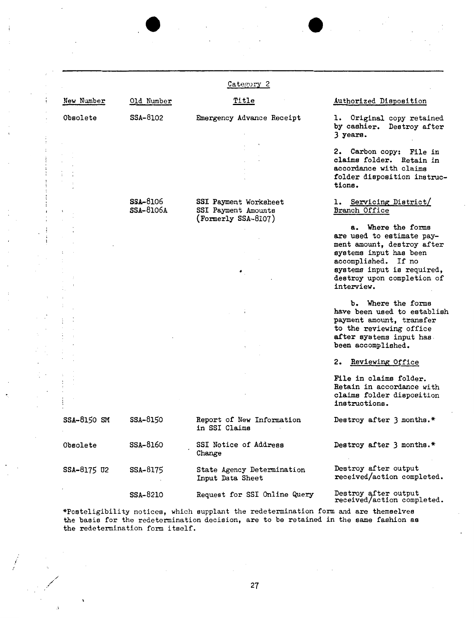|             |                                     | Category 2                                                              |                                                                    |  |
|-------------|-------------------------------------|-------------------------------------------------------------------------|--------------------------------------------------------------------|--|
| New Number  | Old Number                          | Title                                                                   | Authorized Disposition                                             |  |
| Obsolete    | SSA-8102                            | Emergency Advance Receipt                                               | 1. Original copy retained<br>by cashier. Destroy after<br>3 years. |  |
|             |                                     |                                                                         | 2. Carbon copy: File in                                            |  |
|             |                                     |                                                                         | claims folder. Retain in                                           |  |
|             |                                     |                                                                         | accordance with claims                                             |  |
|             |                                     |                                                                         | folder disposition instruc-<br>tions.                              |  |
|             | <b>SSA-8106</b><br><b>SSA-8106A</b> | SSI Payment Worksheet<br>SSI Payment Amounts<br>$(J$ Formerly SSA-8107) | 1. Servicing District/<br>Branch Office                            |  |
|             |                                     |                                                                         | a. Where the forms                                                 |  |
|             |                                     |                                                                         | are used to estimate pay-                                          |  |
|             |                                     |                                                                         | ment amount, destroy after<br>systems input has been               |  |
|             |                                     |                                                                         | accomplished. If no                                                |  |
|             |                                     | ٠.                                                                      | systems input is required,                                         |  |
|             |                                     |                                                                         | destroy upon completion of<br>interview.                           |  |
|             |                                     |                                                                         | b. Where the forms                                                 |  |
|             |                                     |                                                                         | have been used to establish                                        |  |
|             |                                     |                                                                         | payment amount, transfer                                           |  |
|             |                                     |                                                                         | to the reviewing office<br>after systems input has.                |  |
|             |                                     |                                                                         | been accomplished.                                                 |  |
|             |                                     |                                                                         | Reviewing Office<br>2.                                             |  |
|             |                                     |                                                                         |                                                                    |  |
|             |                                     |                                                                         | File in claims folder.                                             |  |
|             |                                     |                                                                         | Retain in accordance with                                          |  |
|             |                                     |                                                                         | claims folder disposition<br>instructions.                         |  |
| SSA-8150 SM | SSA-8150                            | Report of New Information<br>in SSI Claims                              | Destroy after 3 months.*                                           |  |
| Obsolete    | SSA-8160                            | SSI Notice of Address<br>Change                                         | Destroy after 3 months.*                                           |  |
| SSA-8175 U2 | SSA-8175                            | State Agency Determination<br>Input Data Sheet                          | Destroy after output<br>received/action completed.                 |  |
|             | SSA-8210                            | Request for SSI Online Query                                            | Destroy after output<br>received/action completed.                 |  |

\*Poeteligibility notices, which supplant the redetermination form and are themselves the basis for the redetermination decision, are to be retained in the same fashion **as**  the redetermination form itself.

*j* 

÷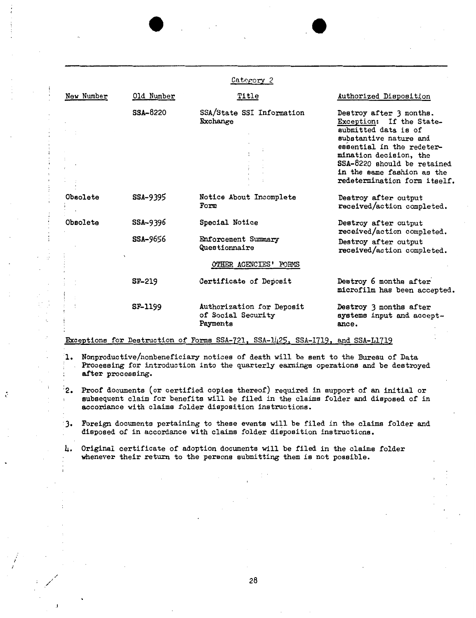|            |                 | Category 2                                                  |                                                                                                                                                                                                                                                           |
|------------|-----------------|-------------------------------------------------------------|-----------------------------------------------------------------------------------------------------------------------------------------------------------------------------------------------------------------------------------------------------------|
| New Number | Old Number      | <b>Title</b>                                                | Authorized Disposition                                                                                                                                                                                                                                    |
|            | <b>SSA-8220</b> | SSA/State SSI Information<br>Exchange                       | Destroy after 3 months.<br>Exception: If the State-<br>submitted data is of<br>substantive nature and<br>essential in the redeter-<br>mination decision, the<br>SSA-8220 should be retained<br>in the same fashion as the<br>redetermination form itself. |
| Obsolete   | SSA-9395        | Notice About Incomplete<br>Form                             | Destroy after output<br>received/action completed.                                                                                                                                                                                                        |
| Obsolete   | SSA-9396        | Special Notice                                              | Destroy after output<br>received/action completed.                                                                                                                                                                                                        |
|            | <b>SSA-9656</b> | Enforcement Summary<br>Questionnaire                        | Destroy after output<br>received/action completed.                                                                                                                                                                                                        |
|            |                 | OTHER AGENCIES' FORMS                                       |                                                                                                                                                                                                                                                           |
|            | <b>SF-219</b>   | Certificate of Deposit                                      | Destroy 6 months after<br>microfilm has been accepted.                                                                                                                                                                                                    |
|            | <b>SF-1199</b>  | Authorization for Deposit<br>of Social Security<br>Payments | Destroy 3 months after<br>systems input and accept-<br>ance.                                                                                                                                                                                              |

Exceptions for Destruction of Forms SSA-721, SSA-1425, SSA-1719, and SSA-11719

÷

- **1.** Nonproductive/nonbeneficiary- notices of death will be sent to the Bureau of Data Processing for introduction into the quarterly earnings operations and be destroyed **after processing.**
- :2. Proof documents (or certified copies thereof) required in support of an initial or subsequent claim for benefits will be filed in the claims folder and disposed of in accordance with claims folder disposition instructions.
- 3. Foreign documents pertaining to these events will be filed in the claims folder and disposed of in accordance with claims folder disposition instructions.
- 4, Original certificate of adoption documents will be filed in the claims folder whenever their return to the persons submitting them is not possible.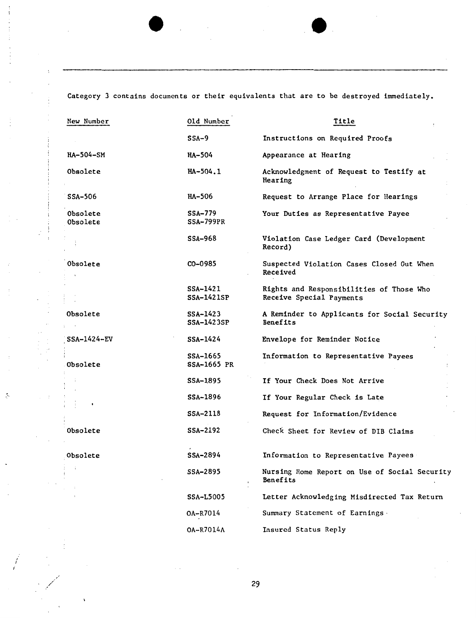Category 3 contains documents or their equivalents that are to be destroyed immediately.

| New Number           | Old Number                         | Title                                                                       |
|----------------------|------------------------------------|-----------------------------------------------------------------------------|
|                      | $SSA-9$                            | Instructions on Required Proofs                                             |
| HA-504-SM            | <b>HA-504</b>                      | Appearance at Hearing                                                       |
| Obsolete             | HA-504.1                           | Acknowledgment of Request to Testify at<br>Hearing                          |
| SSA-506              | <b>HA-506</b>                      | Request to Arrange Place for Hearings                                       |
| Obsolete<br>Obsolete | <b>SSA-779</b><br><b>SSA-799PR</b> | Your Duties as Representative Payee                                         |
|                      | SSA-968                            | Violation Case Ledger Card (Development<br>Record)                          |
| Obsolete             | CO-0985                            | Suspected Violation Cases Closed Out When<br>Received                       |
|                      | SSA-1421<br><b>SSA-1421SP</b>      | <b>Rights and Responsibilities of Those Who</b><br>Receive Special Payments |
| <b>Obsolete</b>      | SSA-1423<br>SSA-1423SP             | A Reminder to Applicants for Social Security<br><b>Benefits</b>             |
| SSA-1424-EV          | SSA-1424                           | Envelope for Reminder Notice                                                |
| Obsolete             | SSA-1665<br>SSA-1665 PR            | Information to Representative Payees                                        |
|                      | SSA-1895                           | If Your Check Does Not Arrive                                               |
|                      | SSA-1896                           | If Your Regular Check is Late                                               |
|                      | SSA-2118                           | Request for Information/Evidence                                            |
| <b>Obsolete</b>      | SSA-2192                           | Check Sheet for Review of DIB Claims                                        |
| Obsolete             | SSA-2894                           | Information to Representative Payees                                        |
|                      | SSA-2895                           | Nursing Home Report on Use of Social Security<br>Benefits                   |
|                      | <b>SSA-L5005</b>                   | Letter Acknowledging Misdirected Tax Return                                 |
|                      | 0A-R7014                           | Summary Statement of Earnings.                                              |
|                      | 0A-R7014A                          | Insured Status Reply                                                        |

 $\bar{z}$ 

 $\sim$   $\sim$ 

/

 $\ddot{\phi}$ 

 $\mathbb{R}^d \times \mathbb{R}^d$ 

 $\ddot{\phantom{a}}$  $\overline{1}$ 

 $\vdots$